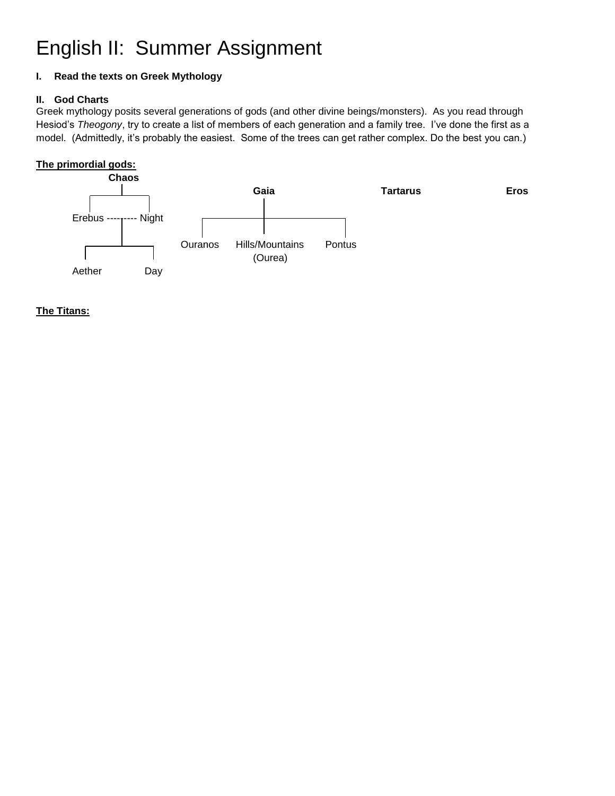# English II: Summer Assignment

#### **I. Read the texts on Greek Mythology**

#### **II. God Charts**

Greek mythology posits several generations of gods (and other divine beings/monsters). As you read through Hesiod's *Theogony*, try to create a list of members of each generation and a family tree. I've done the first as a model. (Admittedly, it's probably the easiest. Some of the trees can get rather complex. Do the best you can.)





#### **The Titans:**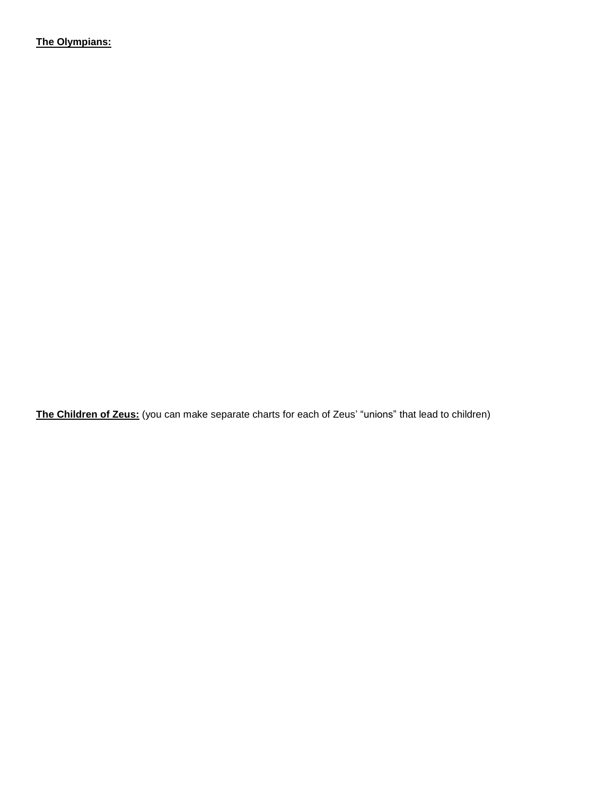**The Olympians:**

**The Children of Zeus:** (you can make separate charts for each of Zeus' "unions" that lead to children)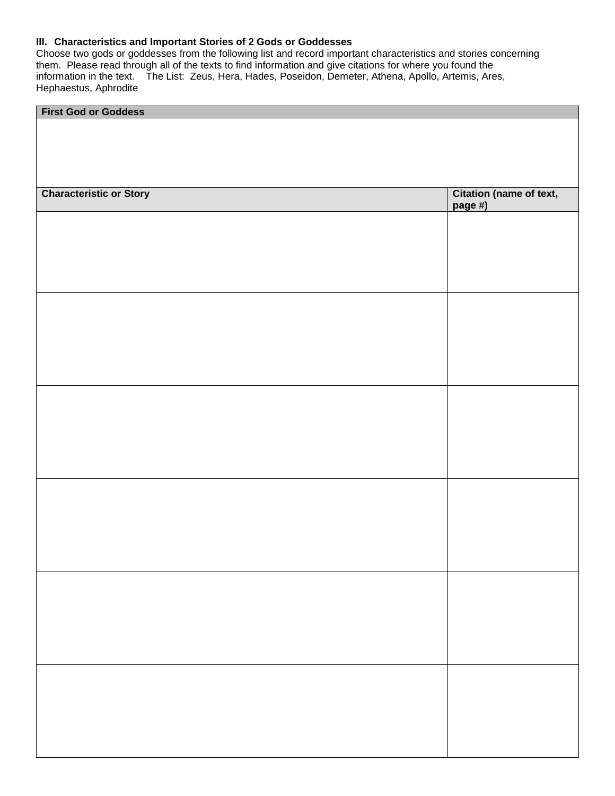#### **III. Characteristics and Important Stories of 2 Gods or Goddesses**

Choose two gods or goddesses from the following list and record important characteristics and stories concerning them. Please read through all of the texts to find information and give citations for where you found the information in the text. The List: Zeus, Hera, Hades, Poseidon, Demeter, Athena, Apollo, Artemis, Ares, Hephaestus, Aphrodite

| <b>First God or Goddess</b>    |                                    |
|--------------------------------|------------------------------------|
|                                |                                    |
|                                |                                    |
|                                |                                    |
|                                |                                    |
| <b>Characteristic or Story</b> |                                    |
|                                | Citation (name of text,<br>page #) |
|                                |                                    |
|                                |                                    |
|                                |                                    |
|                                |                                    |
|                                |                                    |
|                                |                                    |
|                                |                                    |
|                                |                                    |
|                                |                                    |
|                                |                                    |
|                                |                                    |
|                                |                                    |
|                                |                                    |
|                                |                                    |
|                                |                                    |
|                                |                                    |
|                                |                                    |
|                                |                                    |
|                                |                                    |
|                                |                                    |
|                                |                                    |
|                                |                                    |
|                                |                                    |
|                                |                                    |
|                                |                                    |
|                                |                                    |
|                                |                                    |
|                                |                                    |
|                                |                                    |
|                                |                                    |
|                                |                                    |
|                                |                                    |
|                                |                                    |
|                                |                                    |
|                                |                                    |
|                                |                                    |
|                                |                                    |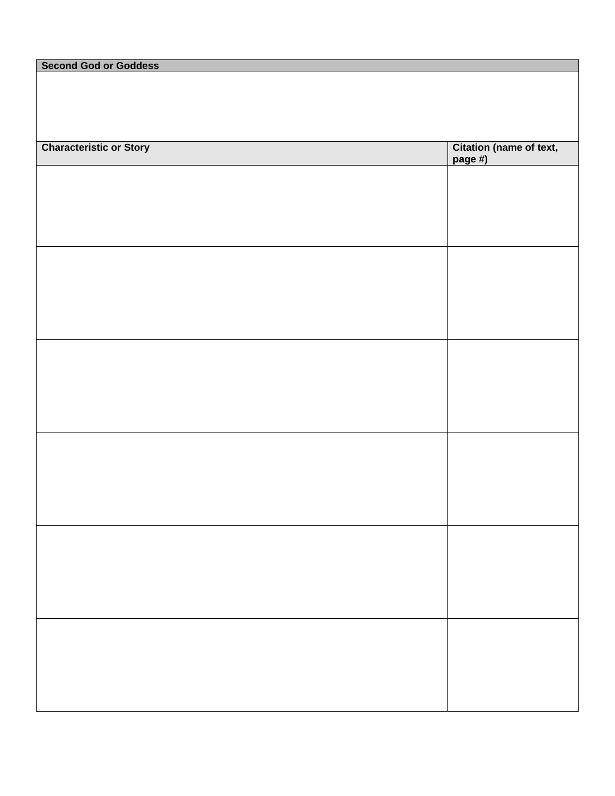**Second God or Goddess**

| <b>Characteristic or Story</b> | Citation (name of text,<br>page #) |
|--------------------------------|------------------------------------|
|                                |                                    |
|                                |                                    |
|                                |                                    |
|                                |                                    |
|                                |                                    |
|                                |                                    |
|                                |                                    |
|                                |                                    |
|                                |                                    |
|                                |                                    |
|                                |                                    |
|                                |                                    |
|                                |                                    |
|                                |                                    |
|                                |                                    |
|                                |                                    |
|                                |                                    |
|                                |                                    |
|                                |                                    |
|                                |                                    |
|                                |                                    |
|                                |                                    |
|                                |                                    |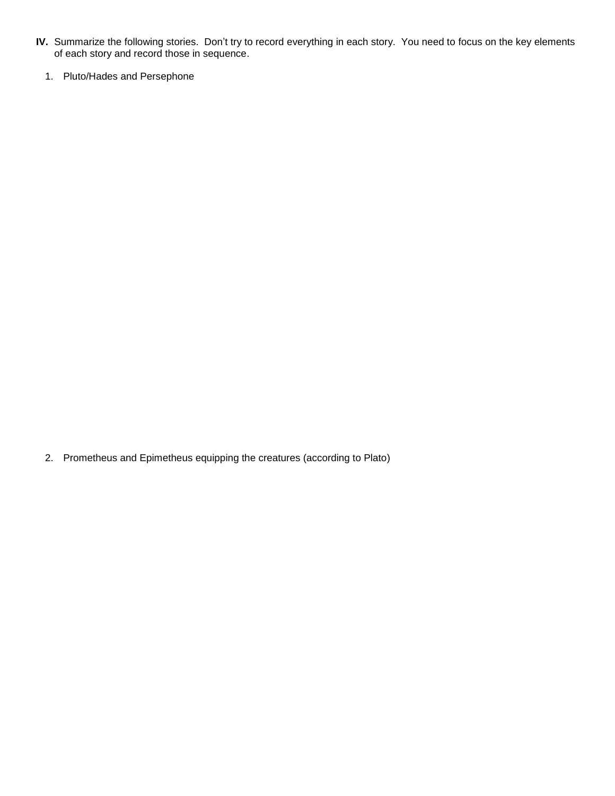- **IV.** Summarize the following stories. Don't try to record everything in each story. You need to focus on the key elements of each story and record those in sequence.
	- 1. Pluto/Hades and Persephone

2. Prometheus and Epimetheus equipping the creatures (according to Plato)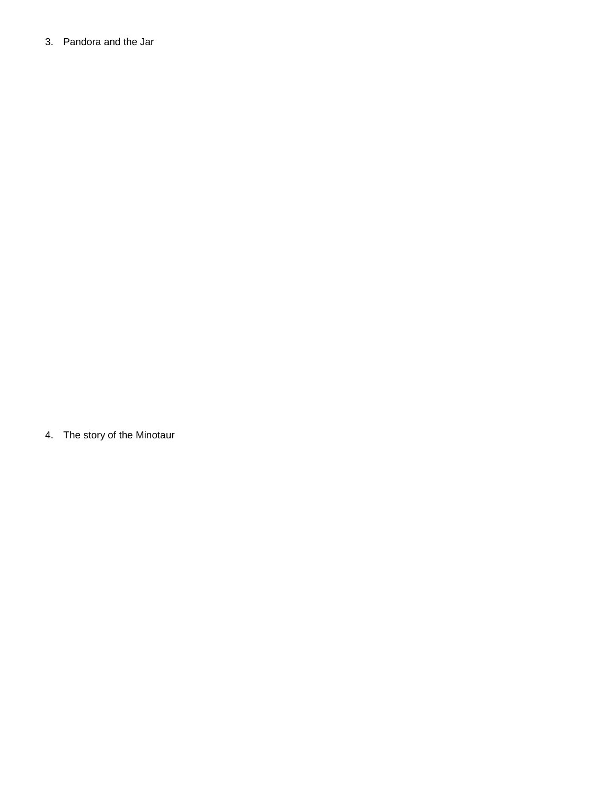#### 3. Pandora and the Jar

4. The story of the Minotaur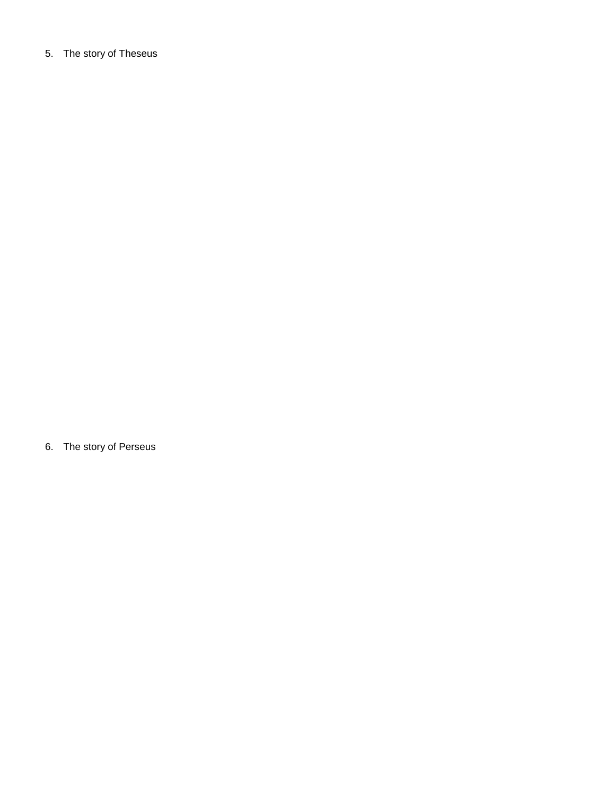#### 5. The story of Theseus

6. The story of Perseus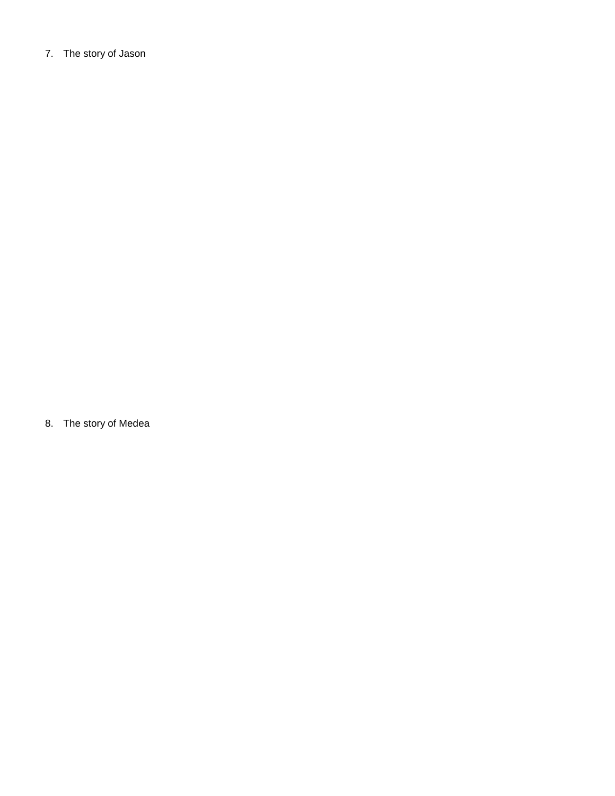7. The story of Jason

8. The story of Medea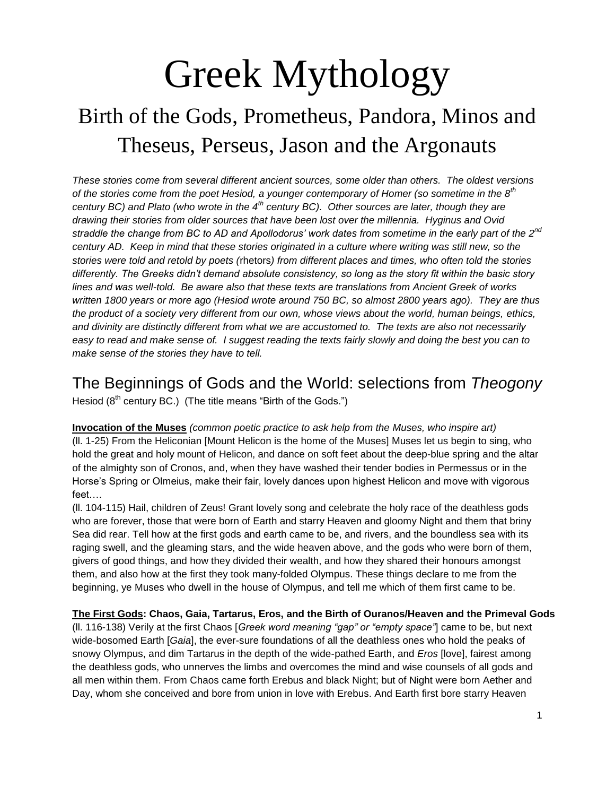# Greek Mythology

# Birth of the Gods, Prometheus, Pandora, Minos and Theseus, Perseus, Jason and the Argonauts

*These stories come from several different ancient sources, some older than others. The oldest versions of the stories come from the poet Hesiod, a younger contemporary of Homer (so sometime in the 8th century BC) and Plato (who wrote in the 4th century BC). Other sources are later, though they are drawing their stories from older sources that have been lost over the millennia. Hyginus and Ovid straddle the change from BC to AD and Apollodorus' work dates from sometime in the early part of the 2nd century AD. Keep in mind that these stories originated in a culture where writing was still new, so the stories were told and retold by poets (*rhetors*) from different places and times, who often told the stories differently. The Greeks didn't demand absolute consistency, so long as the story fit within the basic story lines and was well-told. Be aware also that these texts are translations from Ancient Greek of works written 1800 years or more ago (Hesiod wrote around 750 BC, so almost 2800 years ago). They are thus the product of a society very different from our own, whose views about the world, human beings, ethics, and divinity are distinctly different from what we are accustomed to. The texts are also not necessarily easy to read and make sense of. I suggest reading the texts fairly slowly and doing the best you can to make sense of the stories they have to tell.*

## The Beginnings of Gods and the World: selections from *Theogony*

Hesiod  $(8<sup>th</sup>$  century BC.) (The title means "Birth of the Gods.")

**Invocation of the Muses** *(common poetic practice to ask help from the Muses, who inspire art)* (ll. 1-25) From the Heliconian [Mount Helicon is the home of the Muses] Muses let us begin to sing, who hold the great and holy mount of Helicon, and dance on soft feet about the deep-blue spring and the altar of the almighty son of Cronos, and, when they have washed their tender bodies in Permessus or in the Horse's Spring or Olmeius, make their fair, lovely dances upon highest Helicon and move with vigorous feet….

(ll. 104-115) Hail, children of Zeus! Grant lovely song and celebrate the holy race of the deathless gods who are forever, those that were born of Earth and starry Heaven and gloomy Night and them that briny Sea did rear. Tell how at the first gods and earth came to be, and rivers, and the boundless sea with its raging swell, and the gleaming stars, and the wide heaven above, and the gods who were born of them, givers of good things, and how they divided their wealth, and how they shared their honours amongst them, and also how at the first they took many-folded Olympus. These things declare to me from the beginning, ye Muses who dwell in the house of Olympus, and tell me which of them first came to be.

**The First Gods: Chaos, Gaia, Tartarus, Eros, and the Birth of Ouranos/Heaven and the Primeval Gods** (ll. 116-138) Verily at the first Chaos [*Greek word meaning "gap" or "empty space"*] came to be, but next wide-bosomed Earth [*Gaia*], the ever-sure foundations of all the deathless ones who hold the peaks of snowy Olympus, and dim Tartarus in the depth of the wide-pathed Earth, and *Eros* [love], fairest among the deathless gods, who unnerves the limbs and overcomes the mind and wise counsels of all gods and all men within them. From Chaos came forth Erebus and black Night; but of Night were born Aether and Day, whom she conceived and bore from union in love with Erebus. And Earth first bore starry Heaven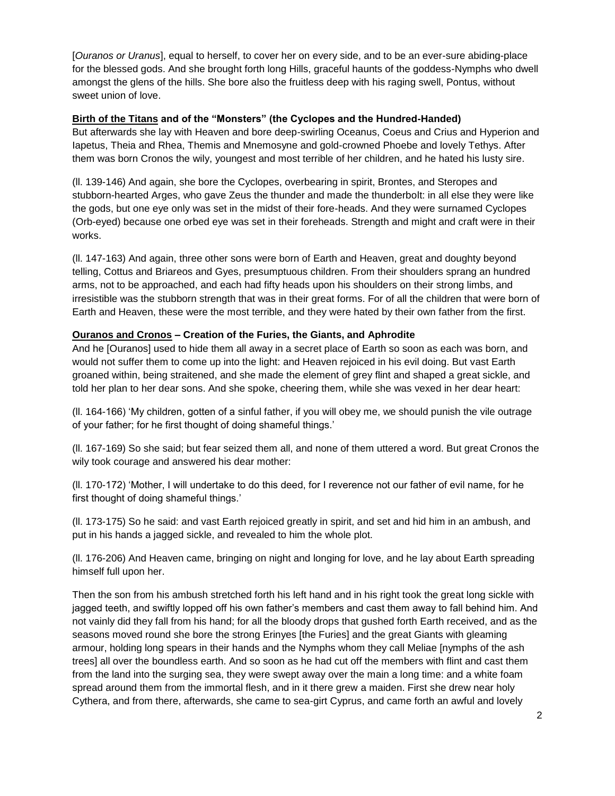[*Ouranos or Uranus*], equal to herself, to cover her on every side, and to be an ever-sure abiding-place for the blessed gods. And she brought forth long Hills, graceful haunts of the goddess-Nymphs who dwell amongst the glens of the hills. She bore also the fruitless deep with his raging swell, Pontus, without sweet union of love.

#### **Birth of the Titans and of the "Monsters" (the Cyclopes and the Hundred-Handed)**

But afterwards she lay with Heaven and bore deep-swirling Oceanus, Coeus and Crius and Hyperion and Iapetus, Theia and Rhea, Themis and Mnemosyne and gold-crowned Phoebe and lovely Tethys. After them was born Cronos the wily, youngest and most terrible of her children, and he hated his lusty sire.

(ll. 139-146) And again, she bore the Cyclopes, overbearing in spirit, Brontes, and Steropes and stubborn-hearted Arges, who gave Zeus the thunder and made the thunderbolt: in all else they were like the gods, but one eye only was set in the midst of their fore-heads. And they were surnamed Cyclopes (Orb-eyed) because one orbed eye was set in their foreheads. Strength and might and craft were in their works.

(ll. 147-163) And again, three other sons were born of Earth and Heaven, great and doughty beyond telling, Cottus and Briareos and Gyes, presumptuous children. From their shoulders sprang an hundred arms, not to be approached, and each had fifty heads upon his shoulders on their strong limbs, and irresistible was the stubborn strength that was in their great forms. For of all the children that were born of Earth and Heaven, these were the most terrible, and they were hated by their own father from the first.

#### **Ouranos and Cronos – Creation of the Furies, the Giants, and Aphrodite**

And he [Ouranos] used to hide them all away in a secret place of Earth so soon as each was born, and would not suffer them to come up into the light: and Heaven rejoiced in his evil doing. But vast Earth groaned within, being straitened, and she made the element of grey flint and shaped a great sickle, and told her plan to her dear sons. And she spoke, cheering them, while she was vexed in her dear heart:

(ll. 164-166) ‗My children, gotten of a sinful father, if you will obey me, we should punish the vile outrage of your father; for he first thought of doing shameful things.'

(ll. 167-169) So she said; but fear seized them all, and none of them uttered a word. But great Cronos the wily took courage and answered his dear mother:

(ll. 170-172) ‗Mother, I will undertake to do this deed, for I reverence not our father of evil name, for he first thought of doing shameful things.'

(ll. 173-175) So he said: and vast Earth rejoiced greatly in spirit, and set and hid him in an ambush, and put in his hands a jagged sickle, and revealed to him the whole plot.

(ll. 176-206) And Heaven came, bringing on night and longing for love, and he lay about Earth spreading himself full upon her.

Then the son from his ambush stretched forth his left hand and in his right took the great long sickle with jagged teeth, and swiftly lopped off his own father's members and cast them away to fall behind him. And not vainly did they fall from his hand; for all the bloody drops that gushed forth Earth received, and as the seasons moved round she bore the strong Erinyes [the Furies] and the great Giants with gleaming armour, holding long spears in their hands and the Nymphs whom they call Meliae [nymphs of the ash trees] all over the boundless earth. And so soon as he had cut off the members with flint and cast them from the land into the surging sea, they were swept away over the main a long time: and a white foam spread around them from the immortal flesh, and in it there grew a maiden. First she drew near holy Cythera, and from there, afterwards, she came to sea-girt Cyprus, and came forth an awful and lovely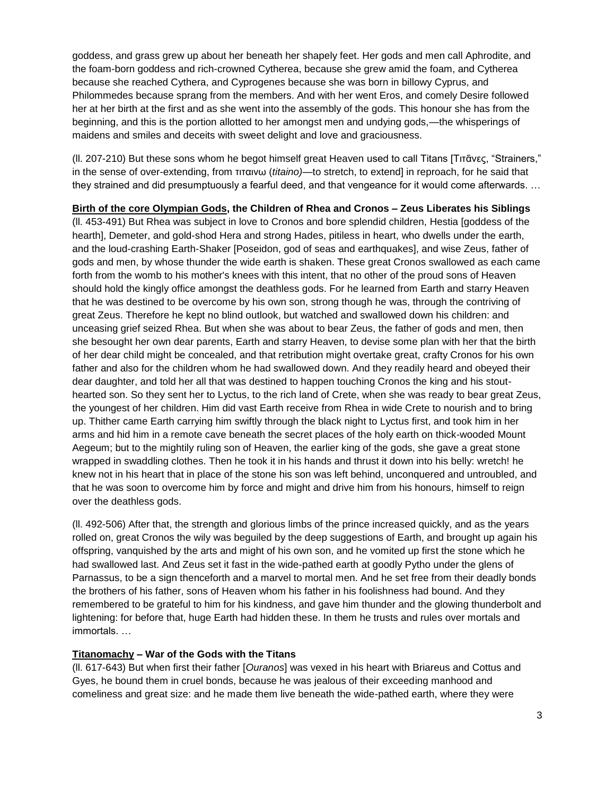goddess, and grass grew up about her beneath her shapely feet. Her gods and men call Aphrodite, and the foam-born goddess and rich-crowned Cytherea, because she grew amid the foam, and Cytherea because she reached Cythera, and Cyprogenes because she was born in billowy Cyprus, and Philommedes because sprang from the members. And with her went Eros, and comely Desire followed her at her birth at the first and as she went into the assembly of the gods. This honour she has from the beginning, and this is the portion allotted to her amongst men and undying gods,—the whisperings of maidens and smiles and deceits with sweet delight and love and graciousness.

(II. 207-210) But these sons whom he begot himself great Heaven used to call Titans [Τιτᾶνες, "Strainers," in the sense of over-extending, from τιταινω (*titaino)*—to stretch, to extend] in reproach, for he said that they strained and did presumptuously a fearful deed, and that vengeance for it would come afterwards. …

**Birth of the core Olympian Gods, the Children of Rhea and Cronos – Zeus Liberates his Siblings** (ll. 453-491) But Rhea was subject in love to Cronos and bore splendid children, Hestia [goddess of the hearth], Demeter, and gold-shod Hera and strong Hades, pitiless in heart, who dwells under the earth, and the loud-crashing Earth-Shaker [Poseidon, god of seas and earthquakes], and wise Zeus, father of gods and men, by whose thunder the wide earth is shaken. These great Cronos swallowed as each came forth from the womb to his mother's knees with this intent, that no other of the proud sons of Heaven should hold the kingly office amongst the deathless gods. For he learned from Earth and starry Heaven that he was destined to be overcome by his own son, strong though he was, through the contriving of great Zeus. Therefore he kept no blind outlook, but watched and swallowed down his children: and unceasing grief seized Rhea. But when she was about to bear Zeus, the father of gods and men, then she besought her own dear parents, Earth and starry Heaven, to devise some plan with her that the birth of her dear child might be concealed, and that retribution might overtake great, crafty Cronos for his own father and also for the children whom he had swallowed down. And they readily heard and obeyed their dear daughter, and told her all that was destined to happen touching Cronos the king and his stouthearted son. So they sent her to Lyctus, to the rich land of Crete, when she was ready to bear great Zeus, the youngest of her children. Him did vast Earth receive from Rhea in wide Crete to nourish and to bring up. Thither came Earth carrying him swiftly through the black night to Lyctus first, and took him in her arms and hid him in a remote cave beneath the secret places of the holy earth on thick-wooded Mount Aegeum; but to the mightily ruling son of Heaven, the earlier king of the gods, she gave a great stone wrapped in swaddling clothes. Then he took it in his hands and thrust it down into his belly: wretch! he knew not in his heart that in place of the stone his son was left behind, unconquered and untroubled, and that he was soon to overcome him by force and might and drive him from his honours, himself to reign over the deathless gods.

(ll. 492-506) After that, the strength and glorious limbs of the prince increased quickly, and as the years rolled on, great Cronos the wily was beguiled by the deep suggestions of Earth, and brought up again his offspring, vanquished by the arts and might of his own son, and he vomited up first the stone which he had swallowed last. And Zeus set it fast in the wide-pathed earth at goodly Pytho under the glens of Parnassus, to be a sign thenceforth and a marvel to mortal men. And he set free from their deadly bonds the brothers of his father, sons of Heaven whom his father in his foolishness had bound. And they remembered to be grateful to him for his kindness, and gave him thunder and the glowing thunderbolt and lightening: for before that, huge Earth had hidden these. In them he trusts and rules over mortals and immortals. …

#### **Titanomachy – War of the Gods with the Titans**

(ll. 617-643) But when first their father [*Ouranos*] was vexed in his heart with Briareus and Cottus and Gyes, he bound them in cruel bonds, because he was jealous of their exceeding manhood and comeliness and great size: and he made them live beneath the wide-pathed earth, where they were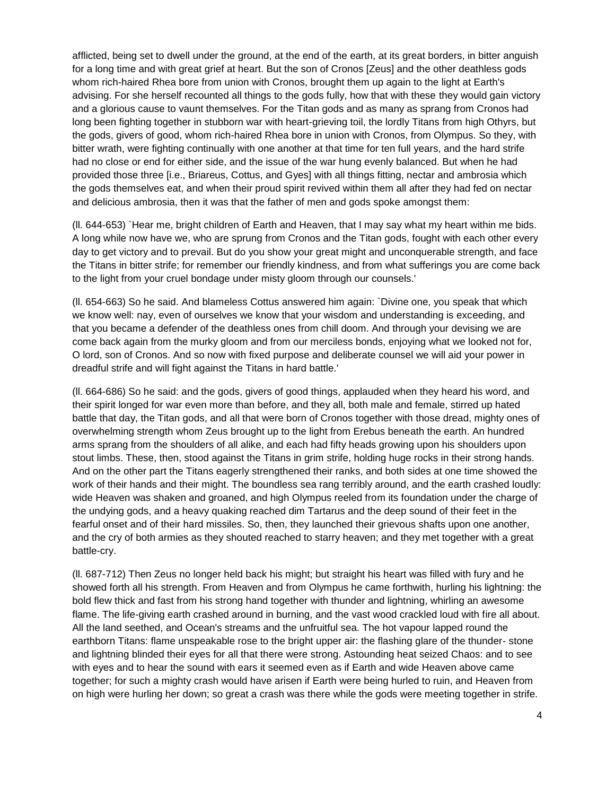afflicted, being set to dwell under the ground, at the end of the earth, at its great borders, in bitter anguish for a long time and with great grief at heart. But the son of Cronos [Zeus] and the other deathless gods whom rich-haired Rhea bore from union with Cronos, brought them up again to the light at Earth's advising. For she herself recounted all things to the gods fully, how that with these they would gain victory and a glorious cause to vaunt themselves. For the Titan gods and as many as sprang from Cronos had long been fighting together in stubborn war with heart-grieving toil, the lordly Titans from high Othyrs, but the gods, givers of good, whom rich-haired Rhea bore in union with Cronos, from Olympus. So they, with bitter wrath, were fighting continually with one another at that time for ten full years, and the hard strife had no close or end for either side, and the issue of the war hung evenly balanced. But when he had provided those three [i.e., Briareus, Cottus, and Gyes] with all things fitting, nectar and ambrosia which the gods themselves eat, and when their proud spirit revived within them all after they had fed on nectar and delicious ambrosia, then it was that the father of men and gods spoke amongst them:

(ll. 644-653) `Hear me, bright children of Earth and Heaven, that I may say what my heart within me bids. A long while now have we, who are sprung from Cronos and the Titan gods, fought with each other every day to get victory and to prevail. But do you show your great might and unconquerable strength, and face the Titans in bitter strife; for remember our friendly kindness, and from what sufferings you are come back to the light from your cruel bondage under misty gloom through our counsels.'

(ll. 654-663) So he said. And blameless Cottus answered him again: `Divine one, you speak that which we know well: nay, even of ourselves we know that your wisdom and understanding is exceeding, and that you became a defender of the deathless ones from chill doom. And through your devising we are come back again from the murky gloom and from our merciless bonds, enjoying what we looked not for, O lord, son of Cronos. And so now with fixed purpose and deliberate counsel we will aid your power in dreadful strife and will fight against the Titans in hard battle.'

(ll. 664-686) So he said: and the gods, givers of good things, applauded when they heard his word, and their spirit longed for war even more than before, and they all, both male and female, stirred up hated battle that day, the Titan gods, and all that were born of Cronos together with those dread, mighty ones of overwhelming strength whom Zeus brought up to the light from Erebus beneath the earth. An hundred arms sprang from the shoulders of all alike, and each had fifty heads growing upon his shoulders upon stout limbs. These, then, stood against the Titans in grim strife, holding huge rocks in their strong hands. And on the other part the Titans eagerly strengthened their ranks, and both sides at one time showed the work of their hands and their might. The boundless sea rang terribly around, and the earth crashed loudly: wide Heaven was shaken and groaned, and high Olympus reeled from its foundation under the charge of the undying gods, and a heavy quaking reached dim Tartarus and the deep sound of their feet in the fearful onset and of their hard missiles. So, then, they launched their grievous shafts upon one another, and the cry of both armies as they shouted reached to starry heaven; and they met together with a great battle-cry.

(ll. 687-712) Then Zeus no longer held back his might; but straight his heart was filled with fury and he showed forth all his strength. From Heaven and from Olympus he came forthwith, hurling his lightning: the bold flew thick and fast from his strong hand together with thunder and lightning, whirling an awesome flame. The life-giving earth crashed around in burning, and the vast wood crackled loud with fire all about. All the land seethed, and Ocean's streams and the unfruitful sea. The hot vapour lapped round the earthborn Titans: flame unspeakable rose to the bright upper air: the flashing glare of the thunder- stone and lightning blinded their eyes for all that there were strong. Astounding heat seized Chaos: and to see with eyes and to hear the sound with ears it seemed even as if Earth and wide Heaven above came together; for such a mighty crash would have arisen if Earth were being hurled to ruin, and Heaven from on high were hurling her down; so great a crash was there while the gods were meeting together in strife.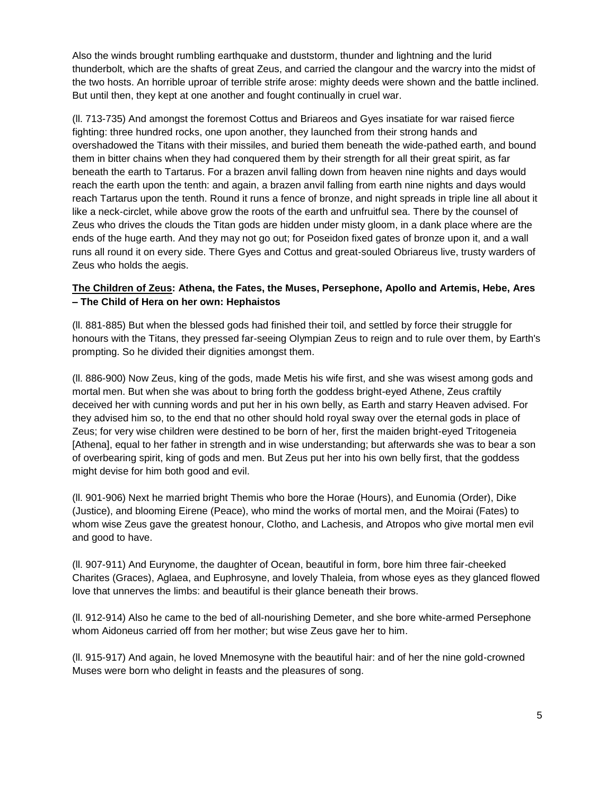Also the winds brought rumbling earthquake and duststorm, thunder and lightning and the lurid thunderbolt, which are the shafts of great Zeus, and carried the clangour and the warcry into the midst of the two hosts. An horrible uproar of terrible strife arose: mighty deeds were shown and the battle inclined. But until then, they kept at one another and fought continually in cruel war.

(ll. 713-735) And amongst the foremost Cottus and Briareos and Gyes insatiate for war raised fierce fighting: three hundred rocks, one upon another, they launched from their strong hands and overshadowed the Titans with their missiles, and buried them beneath the wide-pathed earth, and bound them in bitter chains when they had conquered them by their strength for all their great spirit, as far beneath the earth to Tartarus. For a brazen anvil falling down from heaven nine nights and days would reach the earth upon the tenth: and again, a brazen anvil falling from earth nine nights and days would reach Tartarus upon the tenth. Round it runs a fence of bronze, and night spreads in triple line all about it like a neck-circlet, while above grow the roots of the earth and unfruitful sea. There by the counsel of Zeus who drives the clouds the Titan gods are hidden under misty gloom, in a dank place where are the ends of the huge earth. And they may not go out; for Poseidon fixed gates of bronze upon it, and a wall runs all round it on every side. There Gyes and Cottus and great-souled Obriareus live, trusty warders of Zeus who holds the aegis.

#### **The Children of Zeus: Athena, the Fates, the Muses, Persephone, Apollo and Artemis, Hebe, Ares – The Child of Hera on her own: Hephaistos**

(ll. 881-885) But when the blessed gods had finished their toil, and settled by force their struggle for honours with the Titans, they pressed far-seeing Olympian Zeus to reign and to rule over them, by Earth's prompting. So he divided their dignities amongst them.

(ll. 886-900) Now Zeus, king of the gods, made Metis his wife first, and she was wisest among gods and mortal men. But when she was about to bring forth the goddess bright-eyed Athene, Zeus craftily deceived her with cunning words and put her in his own belly, as Earth and starry Heaven advised. For they advised him so, to the end that no other should hold royal sway over the eternal gods in place of Zeus; for very wise children were destined to be born of her, first the maiden bright-eyed Tritogeneia [Athena], equal to her father in strength and in wise understanding; but afterwards she was to bear a son of overbearing spirit, king of gods and men. But Zeus put her into his own belly first, that the goddess might devise for him both good and evil.

(ll. 901-906) Next he married bright Themis who bore the Horae (Hours), and Eunomia (Order), Dike (Justice), and blooming Eirene (Peace), who mind the works of mortal men, and the Moirai (Fates) to whom wise Zeus gave the greatest honour, Clotho, and Lachesis, and Atropos who give mortal men evil and good to have.

(ll. 907-911) And Eurynome, the daughter of Ocean, beautiful in form, bore him three fair-cheeked Charites (Graces), Aglaea, and Euphrosyne, and lovely Thaleia, from whose eyes as they glanced flowed love that unnerves the limbs: and beautiful is their glance beneath their brows.

(ll. 912-914) Also he came to the bed of all-nourishing Demeter, and she bore white-armed Persephone whom Aidoneus carried off from her mother; but wise Zeus gave her to him.

(ll. 915-917) And again, he loved Mnemosyne with the beautiful hair: and of her the nine gold-crowned Muses were born who delight in feasts and the pleasures of song.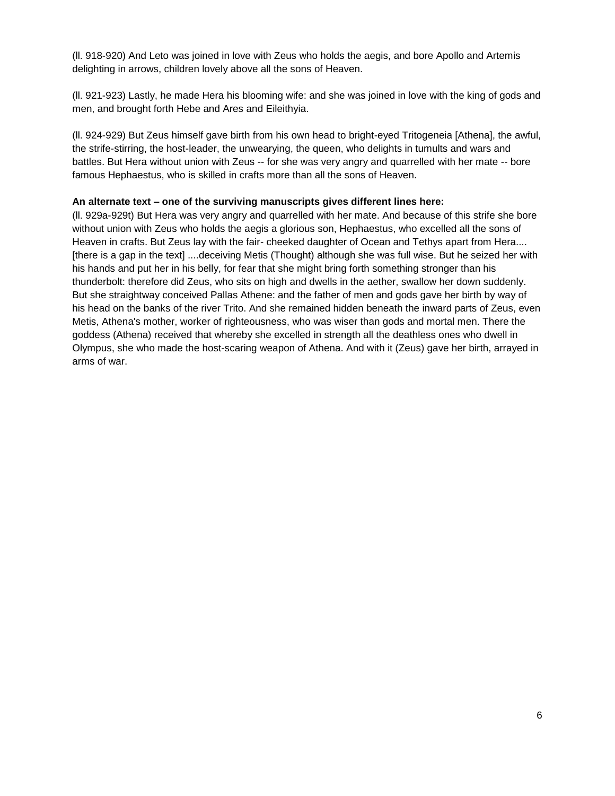(ll. 918-920) And Leto was joined in love with Zeus who holds the aegis, and bore Apollo and Artemis delighting in arrows, children lovely above all the sons of Heaven.

(ll. 921-923) Lastly, he made Hera his blooming wife: and she was joined in love with the king of gods and men, and brought forth Hebe and Ares and Eileithyia.

(ll. 924-929) But Zeus himself gave birth from his own head to bright-eyed Tritogeneia [Athena], the awful, the strife-stirring, the host-leader, the unwearying, the queen, who delights in tumults and wars and battles. But Hera without union with Zeus -- for she was very angry and quarrelled with her mate -- bore famous Hephaestus, who is skilled in crafts more than all the sons of Heaven.

#### **An alternate text – one of the surviving manuscripts gives different lines here:**

(ll. 929a-929t) But Hera was very angry and quarrelled with her mate. And because of this strife she bore without union with Zeus who holds the aegis a glorious son, Hephaestus, who excelled all the sons of Heaven in crafts. But Zeus lay with the fair- cheeked daughter of Ocean and Tethys apart from Hera.... [there is a gap in the text] ....deceiving Metis (Thought) although she was full wise. But he seized her with his hands and put her in his belly, for fear that she might bring forth something stronger than his thunderbolt: therefore did Zeus, who sits on high and dwells in the aether, swallow her down suddenly. But she straightway conceived Pallas Athene: and the father of men and gods gave her birth by way of his head on the banks of the river Trito. And she remained hidden beneath the inward parts of Zeus, even Metis, Athena's mother, worker of righteousness, who was wiser than gods and mortal men. There the goddess (Athena) received that whereby she excelled in strength all the deathless ones who dwell in Olympus, she who made the host-scaring weapon of Athena. And with it (Zeus) gave her birth, arrayed in arms of war.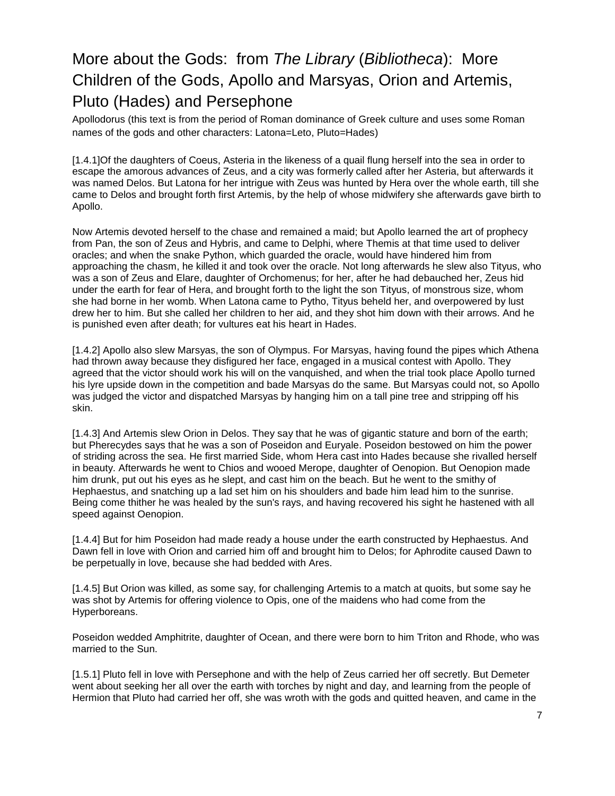# More about the Gods: from *The Library* (*Bibliotheca*): More Children of the Gods, Apollo and Marsyas, Orion and Artemis, Pluto (Hades) and Persephone

Apollodorus (this text is from the period of Roman dominance of Greek culture and uses some Roman names of the gods and other characters: Latona=Leto, Pluto=Hades)

[1.4.1]Of the daughters of Coeus, Asteria in the likeness of a quail flung herself into the sea in order to escape the amorous advances of Zeus, and a city was formerly called after her Asteria, but afterwards it was named Delos. But Latona for her intrigue with Zeus was hunted by Hera over the whole earth, till she came to Delos and brought forth first Artemis, by the help of whose midwifery she afterwards gave birth to Apollo.

Now Artemis devoted herself to the chase and remained a maid; but Apollo learned the art of prophecy from Pan, the son of Zeus and Hybris, and came to Delphi, where Themis at that time used to deliver oracles; and when the snake Python, which guarded the oracle, would have hindered him from approaching the chasm, he killed it and took over the oracle. Not long afterwards he slew also Tityus, who was a son of Zeus and Elare, daughter of Orchomenus; for her, after he had debauched her, Zeus hid under the earth for fear of Hera, and brought forth to the light the son Tityus, of monstrous size, whom she had borne in her womb. When Latona came to Pytho, Tityus beheld her, and overpowered by lust drew her to him. But she called her children to her aid, and they shot him down with their arrows. And he is punished even after death; for vultures eat his heart in Hades.

[1.4.2] Apollo also slew Marsyas, the son of Olympus. For Marsyas, having found the pipes which Athena had thrown away because they disfigured her face, engaged in a musical contest with Apollo. They agreed that the victor should work his will on the vanquished, and when the trial took place Apollo turned his lyre upside down in the competition and bade Marsyas do the same. But Marsyas could not, so Apollo was judged the victor and dispatched Marsyas by hanging him on a tall pine tree and stripping off his skin.

[1.4.3] And Artemis slew Orion in Delos. They say that he was of gigantic stature and born of the earth; but Pherecydes says that he was a son of Poseidon and Euryale. Poseidon bestowed on him the power of striding across the sea. He first married Side, whom Hera cast into Hades because she rivalled herself in beauty. Afterwards he went to Chios and wooed Merope, daughter of Oenopion. But Oenopion made him drunk, put out his eyes as he slept, and cast him on the beach. But he went to the smithy of Hephaestus, and snatching up a lad set him on his shoulders and bade him lead him to the sunrise. Being come thither he was healed by the sun's rays, and having recovered his sight he hastened with all speed against Oenopion.

[1.4.4] But for him Poseidon had made ready a house under the earth constructed by Hephaestus. And Dawn fell in love with Orion and carried him off and brought him to Delos; for Aphrodite caused Dawn to be perpetually in love, because she had bedded with Ares.

[1.4.5] But Orion was killed, as some say, for challenging Artemis to a match at quoits, but some say he was shot by Artemis for offering violence to Opis, one of the maidens who had come from the Hyperboreans.

Poseidon wedded Amphitrite, daughter of Ocean, and there were born to him Triton and Rhode, who was married to the Sun.

[1.5.1] Pluto fell in love with Persephone and with the help of Zeus carried her off secretly. But Demeter went about seeking her all over the earth with torches by night and day, and learning from the people of Hermion that Pluto had carried her off, she was wroth with the gods and quitted heaven, and came in the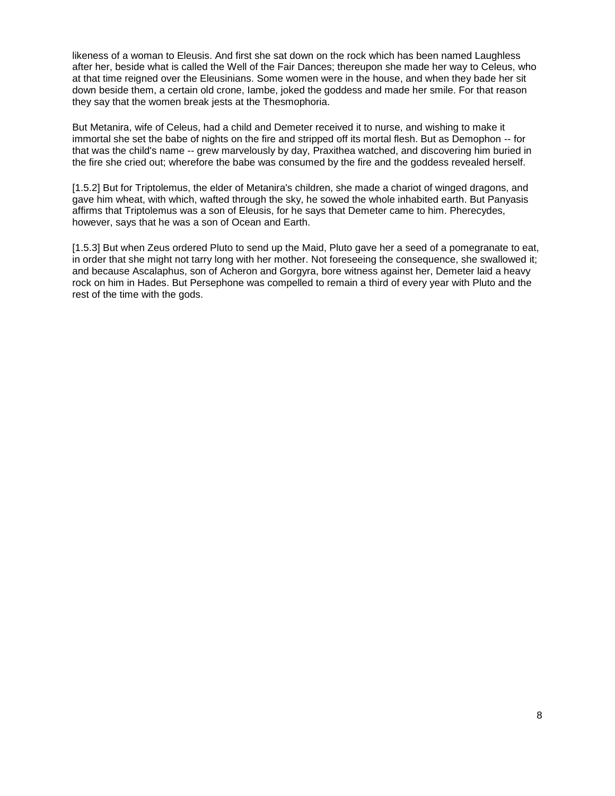likeness of a woman to Eleusis. And first she sat down on the rock which has been named Laughless after her, beside what is called the Well of the Fair Dances; thereupon she made her way to Celeus, who at that time reigned over the Eleusinians. Some women were in the house, and when they bade her sit down beside them, a certain old crone, Iambe, joked the goddess and made her smile. For that reason they say that the women break jests at the Thesmophoria.

But Metanira, wife of Celeus, had a child and Demeter received it to nurse, and wishing to make it immortal she set the babe of nights on the fire and stripped off its mortal flesh. But as Demophon -- for that was the child's name -- grew marvelously by day, Praxithea watched, and discovering him buried in the fire she cried out; wherefore the babe was consumed by the fire and the goddess revealed herself.

[1.5.2] But for Triptolemus, the elder of Metanira's children, she made a chariot of winged dragons, and gave him wheat, with which, wafted through the sky, he sowed the whole inhabited earth. But Panyasis affirms that Triptolemus was a son of Eleusis, for he says that Demeter came to him. Pherecydes, however, says that he was a son of Ocean and Earth.

[1.5.3] But when Zeus ordered Pluto to send up the Maid, Pluto gave her a seed of a pomegranate to eat, in order that she might not tarry long with her mother. Not foreseeing the consequence, she swallowed it; and because Ascalaphus, son of Acheron and Gorgyra, bore witness against her, Demeter laid a heavy rock on him in Hades. But Persephone was compelled to remain a third of every year with Pluto and the rest of the time with the gods.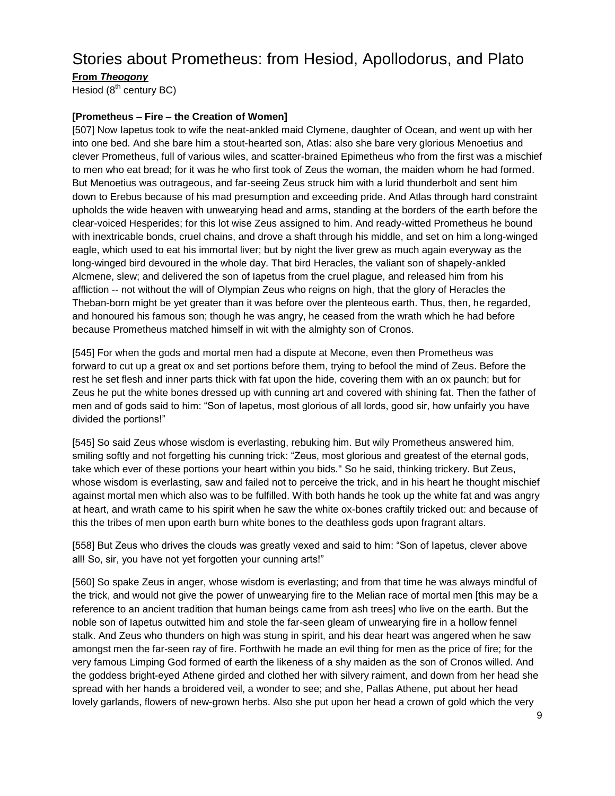### Stories about Prometheus: from Hesiod, Apollodorus, and Plato

#### **From** *Theogony*

 $H$ esiod (8<sup>th</sup> century BC)

#### **[Prometheus – Fire – the Creation of Women]**

[507] Now Iapetus took to wife the neat-ankled maid Clymene, daughter of Ocean, and went up with her into one bed. And she bare him a stout-hearted son, Atlas: also she bare very glorious Menoetius and clever Prometheus, full of various wiles, and scatter-brained Epimetheus who from the first was a mischief to men who eat bread; for it was he who first took of Zeus the woman, the maiden whom he had formed. But Menoetius was outrageous, and far-seeing Zeus struck him with a lurid thunderbolt and sent him down to Erebus because of his mad presumption and exceeding pride. And Atlas through hard constraint upholds the wide heaven with unwearying head and arms, standing at the borders of the earth before the clear-voiced Hesperides; for this lot wise Zeus assigned to him. And ready-witted Prometheus he bound with inextricable bonds, cruel chains, and drove a shaft through his middle, and set on him a long-winged eagle, which used to eat his immortal liver; but by night the liver grew as much again everyway as the long-winged bird devoured in the whole day. That bird Heracles, the valiant son of shapely-ankled Alcmene, slew; and delivered the son of Iapetus from the cruel plague, and released him from his affliction -- not without the will of Olympian Zeus who reigns on high, that the glory of Heracles the Theban-born might be yet greater than it was before over the plenteous earth. Thus, then, he regarded, and honoured his famous son; though he was angry, he ceased from the wrath which he had before because Prometheus matched himself in wit with the almighty son of Cronos.

[545] For when the gods and mortal men had a dispute at Mecone, even then Prometheus was forward to cut up a great ox and set portions before them, trying to befool the mind of Zeus. Before the rest he set flesh and inner parts thick with fat upon the hide, covering them with an ox paunch; but for Zeus he put the white bones dressed up with cunning art and covered with shining fat. Then the father of men and of gods said to him: "Son of Iapetus, most glorious of all lords, good sir, how unfairly you have divided the portions!"

[545] So said Zeus whose wisdom is everlasting, rebuking him. But wily Prometheus answered him, smiling softly and not forgetting his cunning trick: "Zeus, most glorious and greatest of the eternal gods, take which ever of these portions your heart within you bids." So he said, thinking trickery. But Zeus, whose wisdom is everlasting, saw and failed not to perceive the trick, and in his heart he thought mischief against mortal men which also was to be fulfilled. With both hands he took up the white fat and was angry at heart, and wrath came to his spirit when he saw the white ox-bones craftily tricked out: and because of this the tribes of men upon earth burn white bones to the deathless gods upon fragrant altars.

[558] But Zeus who drives the clouds was greatly vexed and said to him: "Son of lapetus, clever above all! So, sir, you have not yet forgotten your cunning arts!"

[560] So spake Zeus in anger, whose wisdom is everlasting; and from that time he was always mindful of the trick, and would not give the power of unwearying fire to the Melian race of mortal men [this may be a reference to an ancient tradition that human beings came from ash trees] who live on the earth. But the noble son of Iapetus outwitted him and stole the far-seen gleam of unwearying fire in a hollow fennel stalk. And Zeus who thunders on high was stung in spirit, and his dear heart was angered when he saw amongst men the far-seen ray of fire. Forthwith he made an evil thing for men as the price of fire; for the very famous Limping God formed of earth the likeness of a shy maiden as the son of Cronos willed. And the goddess bright-eyed Athene girded and clothed her with silvery raiment, and down from her head she spread with her hands a broidered veil, a wonder to see; and she, Pallas Athene, put about her head lovely garlands, flowers of new-grown herbs. Also she put upon her head a crown of gold which the very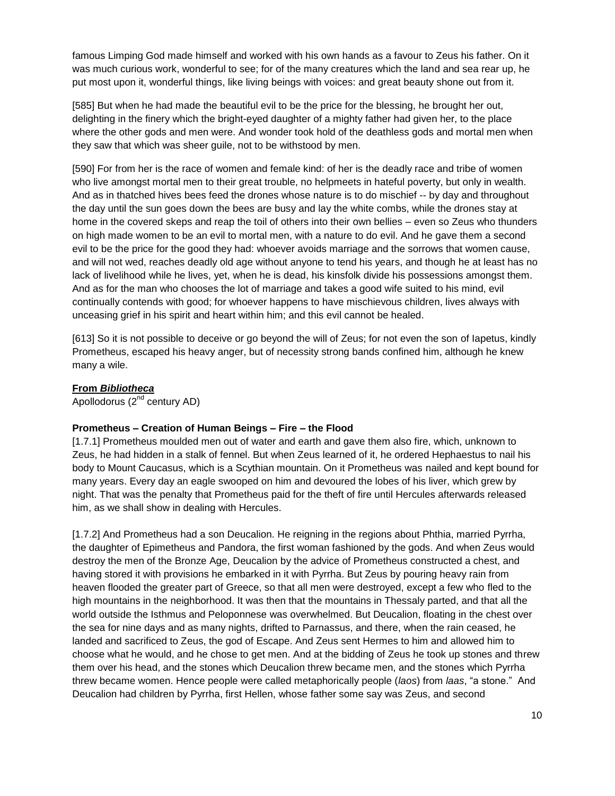famous Limping God made himself and worked with his own hands as a favour to Zeus his father. On it was much curious work, wonderful to see; for of the many creatures which the land and sea rear up, he put most upon it, wonderful things, like living beings with voices: and great beauty shone out from it.

[585] But when he had made the beautiful evil to be the price for the blessing, he brought her out, delighting in the finery which the bright-eyed daughter of a mighty father had given her, to the place where the other gods and men were. And wonder took hold of the deathless gods and mortal men when they saw that which was sheer guile, not to be withstood by men.

[590] For from her is the race of women and female kind: of her is the deadly race and tribe of women who live amongst mortal men to their great trouble, no helpmeets in hateful poverty, but only in wealth. And as in thatched hives bees feed the drones whose nature is to do mischief -- by day and throughout the day until the sun goes down the bees are busy and lay the white combs, while the drones stay at home in the covered skeps and reap the toil of others into their own bellies – even so Zeus who thunders on high made women to be an evil to mortal men, with a nature to do evil. And he gave them a second evil to be the price for the good they had: whoever avoids marriage and the sorrows that women cause, and will not wed, reaches deadly old age without anyone to tend his years, and though he at least has no lack of livelihood while he lives, yet, when he is dead, his kinsfolk divide his possessions amongst them. And as for the man who chooses the lot of marriage and takes a good wife suited to his mind, evil continually contends with good; for whoever happens to have mischievous children, lives always with unceasing grief in his spirit and heart within him; and this evil cannot be healed.

[613] So it is not possible to deceive or go beyond the will of Zeus; for not even the son of Iapetus, kindly Prometheus, escaped his heavy anger, but of necessity strong bands confined him, although he knew many a wile.

#### **From** *Bibliotheca*

Apollodorus (2<sup>nd</sup> century AD)

#### **Prometheus – Creation of Human Beings – Fire – the Flood**

[1.7.1] Prometheus moulded men out of water and earth and gave them also fire, which, unknown to Zeus, he had hidden in a stalk of fennel. But when Zeus learned of it, he ordered Hephaestus to nail his body to Mount Caucasus, which is a Scythian mountain. On it Prometheus was nailed and kept bound for many years. Every day an eagle swooped on him and devoured the lobes of his liver, which grew by night. That was the penalty that Prometheus paid for the theft of fire until Hercules afterwards released him, as we shall show in dealing with Hercules.

[1.7.2] And Prometheus had a son Deucalion. He reigning in the regions about Phthia, married Pyrrha, the daughter of Epimetheus and Pandora, the first woman fashioned by the gods. And when Zeus would destroy the men of the Bronze Age, Deucalion by the advice of Prometheus constructed a chest, and having stored it with provisions he embarked in it with Pyrrha. But Zeus by pouring heavy rain from heaven flooded the greater part of Greece, so that all men were destroyed, except a few who fled to the high mountains in the neighborhood. It was then that the mountains in Thessaly parted, and that all the world outside the Isthmus and Peloponnese was overwhelmed. But Deucalion, floating in the chest over the sea for nine days and as many nights, drifted to Parnassus, and there, when the rain ceased, he landed and sacrificed to Zeus, the god of Escape. And Zeus sent Hermes to him and allowed him to choose what he would, and he chose to get men. And at the bidding of Zeus he took up stones and threw them over his head, and the stones which Deucalion threw became men, and the stones which Pyrrha threw became women. Hence people were called metaphorically people (*laos*) from *laas*, "a stone." And Deucalion had children by Pyrrha, first Hellen, whose father some say was Zeus, and second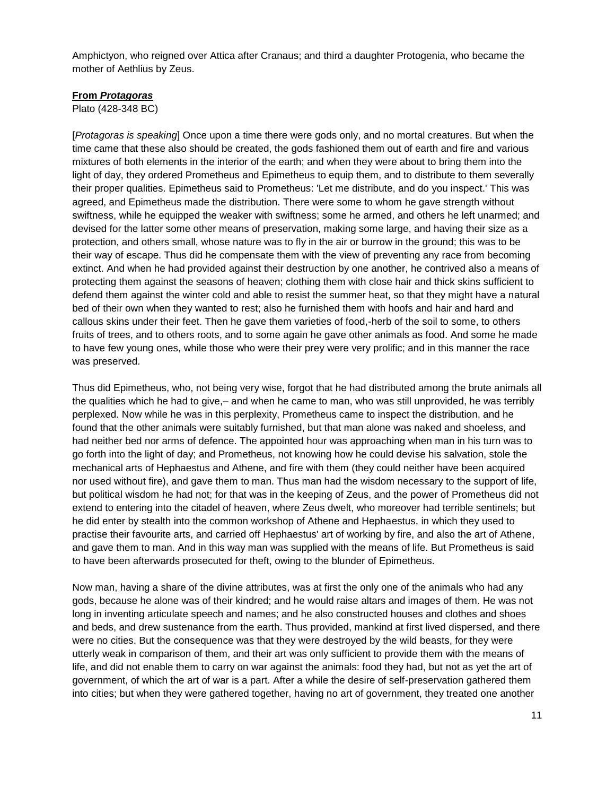Amphictyon, who reigned over Attica after Cranaus; and third a daughter Protogenia, who became the mother of Aethlius by Zeus.

#### **From** *Protagoras*

Plato (428-348 BC)

[*Protagoras is speaking*] Once upon a time there were gods only, and no mortal creatures. But when the time came that these also should be created, the gods fashioned them out of earth and fire and various mixtures of both elements in the interior of the earth; and when they were about to bring them into the light of day, they ordered Prometheus and Epimetheus to equip them, and to distribute to them severally their proper qualities. Epimetheus said to Prometheus: 'Let me distribute, and do you inspect.' This was agreed, and Epimetheus made the distribution. There were some to whom he gave strength without swiftness, while he equipped the weaker with swiftness; some he armed, and others he left unarmed; and devised for the latter some other means of preservation, making some large, and having their size as a protection, and others small, whose nature was to fly in the air or burrow in the ground; this was to be their way of escape. Thus did he compensate them with the view of preventing any race from becoming extinct. And when he had provided against their destruction by one another, he contrived also a means of protecting them against the seasons of heaven; clothing them with close hair and thick skins sufficient to defend them against the winter cold and able to resist the summer heat, so that they might have a natural bed of their own when they wanted to rest; also he furnished them with hoofs and hair and hard and callous skins under their feet. Then he gave them varieties of food,-herb of the soil to some, to others fruits of trees, and to others roots, and to some again he gave other animals as food. And some he made to have few young ones, while those who were their prey were very prolific; and in this manner the race was preserved.

Thus did Epimetheus, who, not being very wise, forgot that he had distributed among the brute animals all the qualities which he had to give,– and when he came to man, who was still unprovided, he was terribly perplexed. Now while he was in this perplexity, Prometheus came to inspect the distribution, and he found that the other animals were suitably furnished, but that man alone was naked and shoeless, and had neither bed nor arms of defence. The appointed hour was approaching when man in his turn was to go forth into the light of day; and Prometheus, not knowing how he could devise his salvation, stole the mechanical arts of Hephaestus and Athene, and fire with them (they could neither have been acquired nor used without fire), and gave them to man. Thus man had the wisdom necessary to the support of life, but political wisdom he had not; for that was in the keeping of Zeus, and the power of Prometheus did not extend to entering into the citadel of heaven, where Zeus dwelt, who moreover had terrible sentinels; but he did enter by stealth into the common workshop of Athene and Hephaestus, in which they used to practise their favourite arts, and carried off Hephaestus' art of working by fire, and also the art of Athene, and gave them to man. And in this way man was supplied with the means of life. But Prometheus is said to have been afterwards prosecuted for theft, owing to the blunder of Epimetheus.

Now man, having a share of the divine attributes, was at first the only one of the animals who had any gods, because he alone was of their kindred; and he would raise altars and images of them. He was not long in inventing articulate speech and names; and he also constructed houses and clothes and shoes and beds, and drew sustenance from the earth. Thus provided, mankind at first lived dispersed, and there were no cities. But the consequence was that they were destroyed by the wild beasts, for they were utterly weak in comparison of them, and their art was only sufficient to provide them with the means of life, and did not enable them to carry on war against the animals: food they had, but not as yet the art of government, of which the art of war is a part. After a while the desire of self-preservation gathered them into cities; but when they were gathered together, having no art of government, they treated one another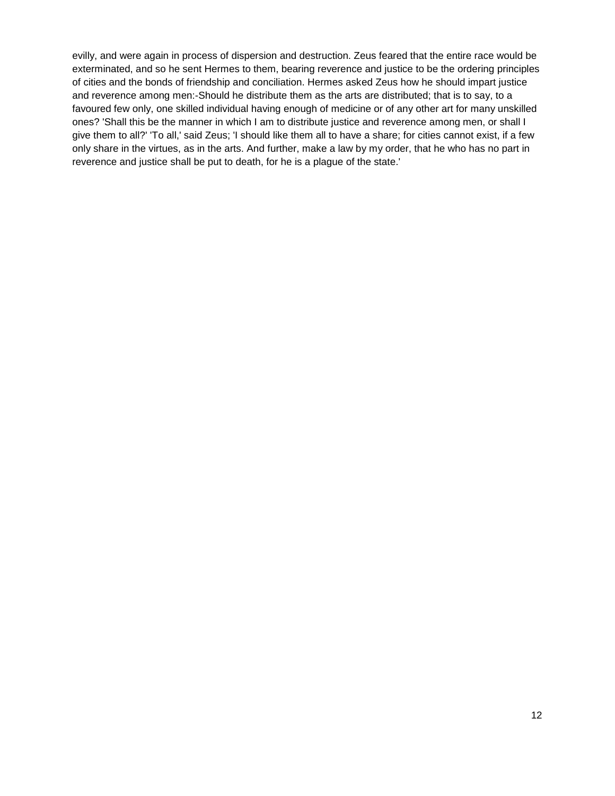evilly, and were again in process of dispersion and destruction. Zeus feared that the entire race would be exterminated, and so he sent Hermes to them, bearing reverence and justice to be the ordering principles of cities and the bonds of friendship and conciliation. Hermes asked Zeus how he should impart justice and reverence among men:-Should he distribute them as the arts are distributed; that is to say, to a favoured few only, one skilled individual having enough of medicine or of any other art for many unskilled ones? 'Shall this be the manner in which I am to distribute justice and reverence among men, or shall I give them to all?' 'To all,' said Zeus; 'I should like them all to have a share; for cities cannot exist, if a few only share in the virtues, as in the arts. And further, make a law by my order, that he who has no part in reverence and justice shall be put to death, for he is a plague of the state.'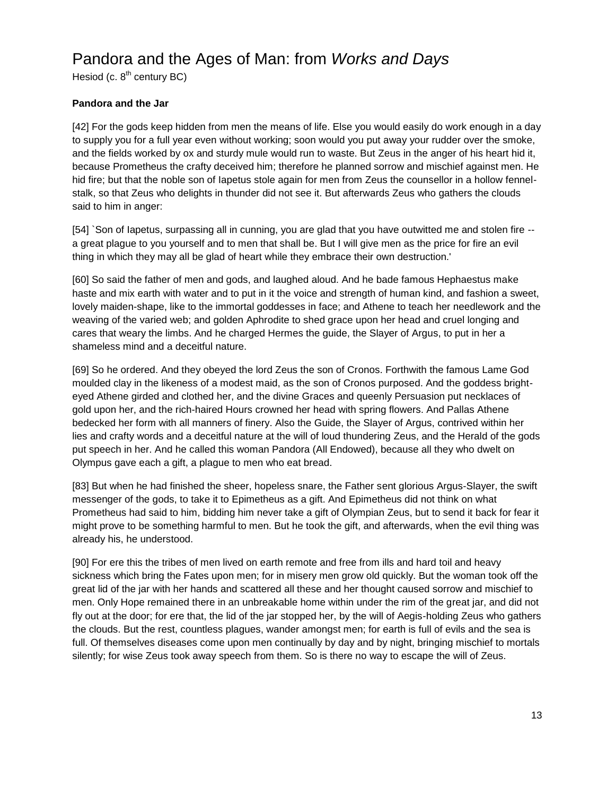### Pandora and the Ages of Man: from *Works and Days*

Hesiod (c.  $8<sup>th</sup>$  century BC)

#### **Pandora and the Jar**

[42] For the gods keep hidden from men the means of life. Else you would easily do work enough in a day to supply you for a full year even without working; soon would you put away your rudder over the smoke, and the fields worked by ox and sturdy mule would run to waste. But Zeus in the anger of his heart hid it, because Prometheus the crafty deceived him; therefore he planned sorrow and mischief against men. He hid fire; but that the noble son of Iapetus stole again for men from Zeus the counsellor in a hollow fennelstalk, so that Zeus who delights in thunder did not see it. But afterwards Zeus who gathers the clouds said to him in anger:

[54] `Son of Iapetus, surpassing all in cunning, you are glad that you have outwitted me and stolen fire -a great plague to you yourself and to men that shall be. But I will give men as the price for fire an evil thing in which they may all be glad of heart while they embrace their own destruction.'

[60] So said the father of men and gods, and laughed aloud. And he bade famous Hephaestus make haste and mix earth with water and to put in it the voice and strength of human kind, and fashion a sweet, lovely maiden-shape, like to the immortal goddesses in face; and Athene to teach her needlework and the weaving of the varied web; and golden Aphrodite to shed grace upon her head and cruel longing and cares that weary the limbs. And he charged Hermes the guide, the Slayer of Argus, to put in her a shameless mind and a deceitful nature.

[69] So he ordered. And they obeyed the lord Zeus the son of Cronos. Forthwith the famous Lame God moulded clay in the likeness of a modest maid, as the son of Cronos purposed. And the goddess brighteyed Athene girded and clothed her, and the divine Graces and queenly Persuasion put necklaces of gold upon her, and the rich-haired Hours crowned her head with spring flowers. And Pallas Athene bedecked her form with all manners of finery. Also the Guide, the Slayer of Argus, contrived within her lies and crafty words and a deceitful nature at the will of loud thundering Zeus, and the Herald of the gods put speech in her. And he called this woman Pandora (All Endowed), because all they who dwelt on Olympus gave each a gift, a plague to men who eat bread.

[83] But when he had finished the sheer, hopeless snare, the Father sent glorious Argus-Slayer, the swift messenger of the gods, to take it to Epimetheus as a gift. And Epimetheus did not think on what Prometheus had said to him, bidding him never take a gift of Olympian Zeus, but to send it back for fear it might prove to be something harmful to men. But he took the gift, and afterwards, when the evil thing was already his, he understood.

[90] For ere this the tribes of men lived on earth remote and free from ills and hard toil and heavy sickness which bring the Fates upon men; for in misery men grow old quickly. But the woman took off the great lid of the jar with her hands and scattered all these and her thought caused sorrow and mischief to men. Only Hope remained there in an unbreakable home within under the rim of the great jar, and did not fly out at the door; for ere that, the lid of the jar stopped her, by the will of Aegis-holding Zeus who gathers the clouds. But the rest, countless plagues, wander amongst men; for earth is full of evils and the sea is full. Of themselves diseases come upon men continually by day and by night, bringing mischief to mortals silently; for wise Zeus took away speech from them. So is there no way to escape the will of Zeus.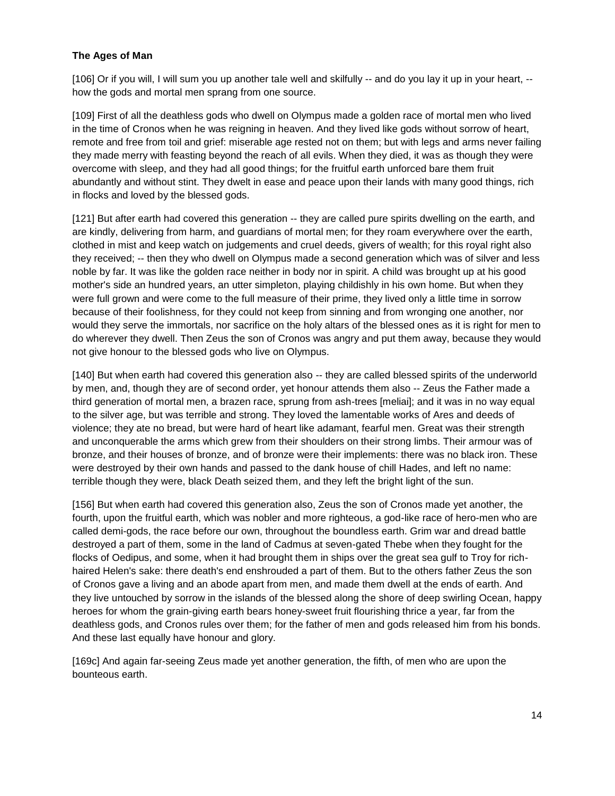#### **The Ages of Man**

[106] Or if you will, I will sum you up another tale well and skilfully -- and do you lay it up in your heart, - how the gods and mortal men sprang from one source.

[109] First of all the deathless gods who dwell on Olympus made a golden race of mortal men who lived in the time of Cronos when he was reigning in heaven. And they lived like gods without sorrow of heart, remote and free from toil and grief: miserable age rested not on them; but with legs and arms never failing they made merry with feasting beyond the reach of all evils. When they died, it was as though they were overcome with sleep, and they had all good things; for the fruitful earth unforced bare them fruit abundantly and without stint. They dwelt in ease and peace upon their lands with many good things, rich in flocks and loved by the blessed gods.

[121] But after earth had covered this generation -- they are called pure spirits dwelling on the earth, and are kindly, delivering from harm, and guardians of mortal men; for they roam everywhere over the earth, clothed in mist and keep watch on judgements and cruel deeds, givers of wealth; for this royal right also they received; -- then they who dwell on Olympus made a second generation which was of silver and less noble by far. It was like the golden race neither in body nor in spirit. A child was brought up at his good mother's side an hundred years, an utter simpleton, playing childishly in his own home. But when they were full grown and were come to the full measure of their prime, they lived only a little time in sorrow because of their foolishness, for they could not keep from sinning and from wronging one another, nor would they serve the immortals, nor sacrifice on the holy altars of the blessed ones as it is right for men to do wherever they dwell. Then Zeus the son of Cronos was angry and put them away, because they would not give honour to the blessed gods who live on Olympus.

[140] But when earth had covered this generation also -- they are called blessed spirits of the underworld by men, and, though they are of second order, yet honour attends them also -- Zeus the Father made a third generation of mortal men, a brazen race, sprung from ash-trees [meliai]; and it was in no way equal to the silver age, but was terrible and strong. They loved the lamentable works of Ares and deeds of violence; they ate no bread, but were hard of heart like adamant, fearful men. Great was their strength and unconquerable the arms which grew from their shoulders on their strong limbs. Their armour was of bronze, and their houses of bronze, and of bronze were their implements: there was no black iron. These were destroyed by their own hands and passed to the dank house of chill Hades, and left no name: terrible though they were, black Death seized them, and they left the bright light of the sun.

[156] But when earth had covered this generation also, Zeus the son of Cronos made yet another, the fourth, upon the fruitful earth, which was nobler and more righteous, a god-like race of hero-men who are called demi-gods, the race before our own, throughout the boundless earth. Grim war and dread battle destroyed a part of them, some in the land of Cadmus at seven-gated Thebe when they fought for the flocks of Oedipus, and some, when it had brought them in ships over the great sea gulf to Troy for richhaired Helen's sake: there death's end enshrouded a part of them. But to the others father Zeus the son of Cronos gave a living and an abode apart from men, and made them dwell at the ends of earth. And they live untouched by sorrow in the islands of the blessed along the shore of deep swirling Ocean, happy heroes for whom the grain-giving earth bears honey-sweet fruit flourishing thrice a year, far from the deathless gods, and Cronos rules over them; for the father of men and gods released him from his bonds. And these last equally have honour and glory.

[169c] And again far-seeing Zeus made yet another generation, the fifth, of men who are upon the bounteous earth.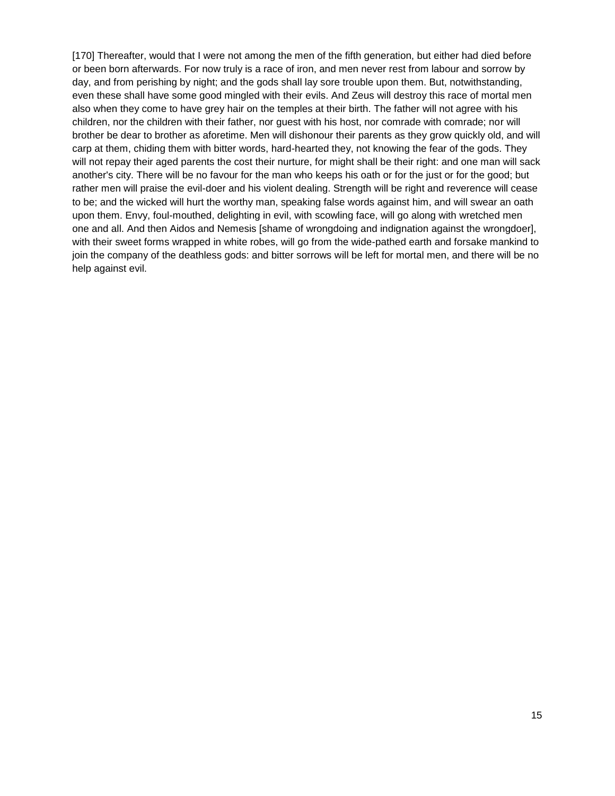[170] Thereafter, would that I were not among the men of the fifth generation, but either had died before or been born afterwards. For now truly is a race of iron, and men never rest from labour and sorrow by day, and from perishing by night; and the gods shall lay sore trouble upon them. But, notwithstanding, even these shall have some good mingled with their evils. And Zeus will destroy this race of mortal men also when they come to have grey hair on the temples at their birth. The father will not agree with his children, nor the children with their father, nor guest with his host, nor comrade with comrade; nor will brother be dear to brother as aforetime. Men will dishonour their parents as they grow quickly old, and will carp at them, chiding them with bitter words, hard-hearted they, not knowing the fear of the gods. They will not repay their aged parents the cost their nurture, for might shall be their right: and one man will sack another's city. There will be no favour for the man who keeps his oath or for the just or for the good; but rather men will praise the evil-doer and his violent dealing. Strength will be right and reverence will cease to be; and the wicked will hurt the worthy man, speaking false words against him, and will swear an oath upon them. Envy, foul-mouthed, delighting in evil, with scowling face, will go along with wretched men one and all. And then Aidos and Nemesis [shame of wrongdoing and indignation against the wrongdoer], with their sweet forms wrapped in white robes, will go from the wide-pathed earth and forsake mankind to join the company of the deathless gods: and bitter sorrows will be left for mortal men, and there will be no help against evil.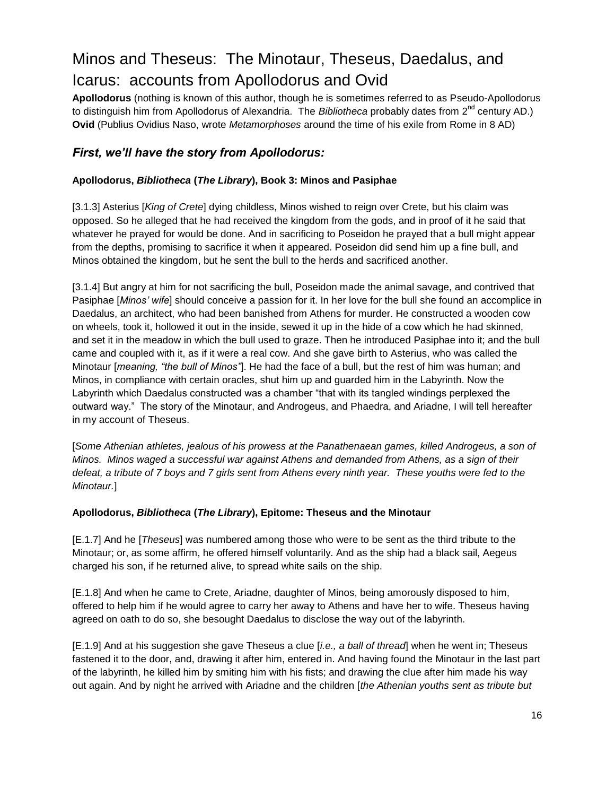# Minos and Theseus: The Minotaur, Theseus, Daedalus, and Icarus: accounts from Apollodorus and Ovid

**Apollodorus** (nothing is known of this author, though he is sometimes referred to as Pseudo-Apollodorus to distinguish him from Apollodorus of Alexandria. The *Bibliotheca* probably dates from 2<sup>nd</sup> century AD.) **Ovid** (Publius Ovidius Naso, wrote *Metamorphoses* around the time of his exile from Rome in 8 AD)

#### *First, we'll have the story from Apollodorus:*

#### **Apollodorus,** *Bibliotheca* **(***The Library***), Book 3: Minos and Pasiphae**

[3.1.3] Asterius [*King of Crete*] dying childless, Minos wished to reign over Crete, but his claim was opposed. So he alleged that he had received the kingdom from the gods, and in proof of it he said that whatever he prayed for would be done. And in sacrificing to Poseidon he prayed that a bull might appear from the depths, promising to sacrifice it when it appeared. Poseidon did send him up a fine bull, and Minos obtained the kingdom, but he sent the bull to the herds and sacrificed another.

[3.1.4] But angry at him for not sacrificing the bull, Poseidon made the animal savage, and contrived that Pasiphae [*Minos' wife*] should conceive a passion for it. In her love for the bull she found an accomplice in Daedalus, an architect, who had been banished from Athens for murder. He constructed a wooden cow on wheels, took it, hollowed it out in the inside, sewed it up in the hide of a cow which he had skinned, and set it in the meadow in which the bull used to graze. Then he introduced Pasiphae into it; and the bull came and coupled with it, as if it were a real cow. And she gave birth to Asterius, who was called the Minotaur [*meaning, "the bull of Minos"*]. He had the face of a bull, but the rest of him was human; and Minos, in compliance with certain oracles, shut him up and guarded him in the Labyrinth. Now the Labyrinth which Daedalus constructed was a chamber "that with its tangled windings perplexed the outward way." The story of the Minotaur, and Androgeus, and Phaedra, and Ariadne, I will tell hereafter in my account of Theseus.

[*Some Athenian athletes, jealous of his prowess at the Panathenaean games, killed Androgeus, a son of Minos. Minos waged a successful war against Athens and demanded from Athens, as a sign of their defeat, a tribute of 7 boys and 7 girls sent from Athens every ninth year. These youths were fed to the Minotaur.*]

#### **Apollodorus,** *Bibliotheca* **(***The Library***), Epitome: Theseus and the Minotaur**

[E.1.7] And he [*Theseus*] was numbered among those who were to be sent as the third tribute to the Minotaur; or, as some affirm, he offered himself voluntarily. And as the ship had a black sail, Aegeus charged his son, if he returned alive, to spread white sails on the ship.

[E.1.8] And when he came to Crete, Ariadne, daughter of Minos, being amorously disposed to him, offered to help him if he would agree to carry her away to Athens and have her to wife. Theseus having agreed on oath to do so, she besought Daedalus to disclose the way out of the labyrinth.

[E.1.9] And at his suggestion she gave Theseus a clue [*i.e., a ball of thread*] when he went in; Theseus fastened it to the door, and, drawing it after him, entered in. And having found the Minotaur in the last part of the labyrinth, he killed him by smiting him with his fists; and drawing the clue after him made his way out again. And by night he arrived with Ariadne and the children [*the Athenian youths sent as tribute but*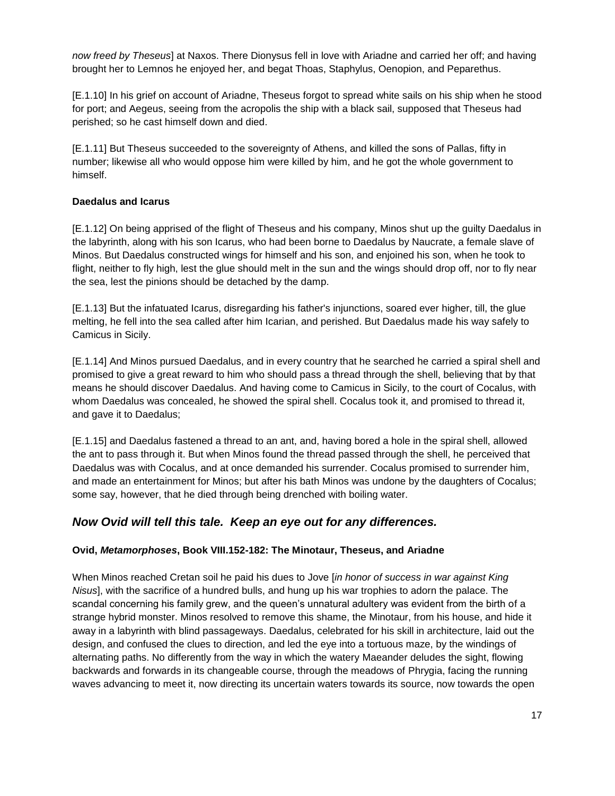*now freed by Theseus*] at Naxos. There Dionysus fell in love with Ariadne and carried her off; and having brought her to Lemnos he enjoyed her, and begat Thoas, Staphylus, Oenopion, and Peparethus.

[E.1.10] In his grief on account of Ariadne, Theseus forgot to spread white sails on his ship when he stood for port; and Aegeus, seeing from the acropolis the ship with a black sail, supposed that Theseus had perished; so he cast himself down and died.

[E.1.11] But Theseus succeeded to the sovereignty of Athens, and killed the sons of Pallas, fifty in number; likewise all who would oppose him were killed by him, and he got the whole government to himself.

#### **Daedalus and Icarus**

[E.1.12] On being apprised of the flight of Theseus and his company, Minos shut up the guilty Daedalus in the labyrinth, along with his son Icarus, who had been borne to Daedalus by Naucrate, a female slave of Minos. But Daedalus constructed wings for himself and his son, and enjoined his son, when he took to flight, neither to fly high, lest the glue should melt in the sun and the wings should drop off, nor to fly near the sea, lest the pinions should be detached by the damp.

[E.1.13] But the infatuated Icarus, disregarding his father's injunctions, soared ever higher, till, the glue melting, he fell into the sea called after him Icarian, and perished. But Daedalus made his way safely to Camicus in Sicily.

[E.1.14] And Minos pursued Daedalus, and in every country that he searched he carried a spiral shell and promised to give a great reward to him who should pass a thread through the shell, believing that by that means he should discover Daedalus. And having come to Camicus in Sicily, to the court of Cocalus, with whom Daedalus was concealed, he showed the spiral shell. Cocalus took it, and promised to thread it, and gave it to Daedalus;

[E.1.15] and Daedalus fastened a thread to an ant, and, having bored a hole in the spiral shell, allowed the ant to pass through it. But when Minos found the thread passed through the shell, he perceived that Daedalus was with Cocalus, and at once demanded his surrender. Cocalus promised to surrender him, and made an entertainment for Minos; but after his bath Minos was undone by the daughters of Cocalus; some say, however, that he died through being drenched with boiling water.

#### *Now Ovid will tell this tale. Keep an eye out for any differences.*

#### **Ovid,** *Metamorphoses***, Book VIII.152-182: The Minotaur, Theseus, and Ariadne**

When [Minos](about:blank) reached [Cretan](about:blank) soil he paid his dues to [Jove](about:blank) [*in honor of success in war against King Nisus*], with the sacrifice of a hundred bulls, and hung up his war trophies to adorn the palace. The scandal concerning his family grew, and the queen's unnatural adultery was evident from the birth of a strange hybrid monster. Minos resolved to remove this shame, the [Minotaur,](about:blank) from his house, and hide it away in a labyrinth with blind passageways. [Daedalus,](about:blank) celebrated for his skill in architecture, laid out the design, and confused the clues to direction, and led the eye into a tortuous maze, by the windings of alternating paths. No differently from the way in which the watery [Maeander](about:blank) deludes the sight, flowing backwards and forwards in its changeable course, through the meadows of [Phrygia,](about:blank) facing the running waves advancing to meet it, now directing its uncertain waters towards its source, now towards the open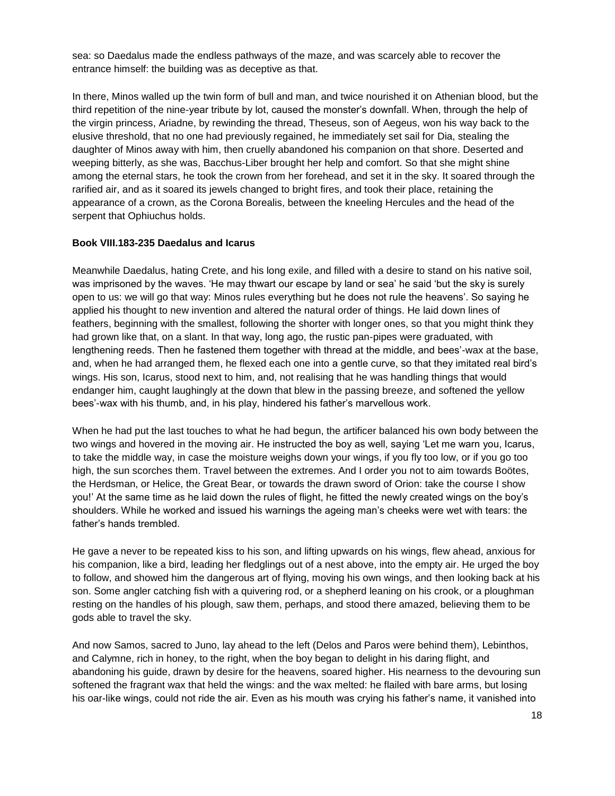sea: so Daedalus made the endless pathways of the maze, and was scarcely able to recover the entrance himself: the building was as deceptive as that.

In there, Minos walled up the twin form of bull and man, and twice nourished it on [Athenian](about:blank) blood, but the third repetition of the nine-year tribute by lot, caused the monster's downfall. When, through the help of the virgin princess, [Ariadne,](about:blank) by rewinding the thread, [Theseus,](about:blank) son of [Aegeus,](about:blank) won his way back to the elusive threshold, that no one had previously regained, he immediately set sail for [Dia,](about:blank) stealing the daughter of Minos away with him, then cruelly abandoned his companion on that shore. Deserted and weeping bitterly, as she was, [Bacchus-Liber](about:blank) brought her help and comfort. So that she might shine among the eternal stars, he took the crown from her forehead, and set it in the sky. It soared through the rarified air, and as it soared its jewels changed to bright fires, and took their place, retaining the appearance of a crown, as the [Corona Borealis,](about:blank) between the kneeling [Hercules](about:blank) and the head of the serpent that [Ophiuchus](about:blank) holds.

#### **Book VIII.183-235 Daedalus and Icarus**

Meanwhile [Daedalus,](about:blank) hating [Crete,](about:blank) and his long exile, and filled with a desire to stand on his native soil, was imprisoned by the waves. 'He may thwart our escape by land or sea' he said 'but the sky is surely open to us: we will go that way: [Minos](about:blank) rules everything but he does not rule the heavens'. So saying he applied his thought to new invention and altered the natural order of things. He laid down lines of feathers, beginning with the smallest, following the shorter with longer ones, so that you might think they had grown like that, on a slant. In that way, long ago, the rustic pan-pipes were graduated, with lengthening reeds. Then he fastened them together with thread at the middle, and bees'-wax at the base, and, when he had arranged them, he flexed each one into a gentle curve, so that they imitated real bird's wings. His son, [Icarus,](about:blank) stood next to him, and, not realising that he was handling things that would endanger him, caught laughingly at the down that blew in the passing breeze, and softened the yellow bees'-wax with his thumb, and, in his play, hindered his father's marvellous work.

When he had put the last touches to what he had begun, the artificer balanced his own body between the two wings and hovered in the moving air. He instructed the boy as well, saying ‗Let me warn you, Icarus, to take the middle way, in case the moisture weighs down your wings, if you fly too low, or if you go too high, the sun scorches them. Travel between the extremes. And I order you not to aim towards [Boötes,](about:blank) the Herdsman, or [Helice,](about:blank) the [Great Bear,](about:blank) or towards the drawn sword of [Orion:](about:blank) take the course I show you!' At the same time as he laid down the rules of flight, he fitted the newly created wings on the boy's shoulders. While he worked and issued his warnings the ageing man's cheeks were wet with tears: the father's hands trembled.

He gave a never to be repeated kiss to his son, and lifting upwards on his wings, flew ahead, anxious for his companion, like a bird, leading her fledglings out of a nest above, into the empty air. He urged the boy to follow, and showed him the dangerous art of flying, moving his own wings, and then looking back at his son. Some angler catching fish with a quivering rod, or a shepherd leaning on his crook, or a ploughman resting on the handles of his plough, saw them, perhaps, and stood there amazed, believing them to be gods able to travel the sky.

And now [Samos,](about:blank) sacred to [Juno,](about:blank) lay ahead to the left [\(Delos](about:blank) and [Paros](about:blank) were behind them), [Lebinthos,](about:blank) and [Calymne,](about:blank) rich in honey, to the right, when the boy began to delight in his daring flight, and abandoning his guide, drawn by desire for the heavens, soared higher. His nearness to the devouring sun softened the fragrant wax that held the wings: and the wax melted: he flailed with bare arms, but losing his oar-like wings, could not ride the air. Even as his mouth was crying his father's name, it vanished into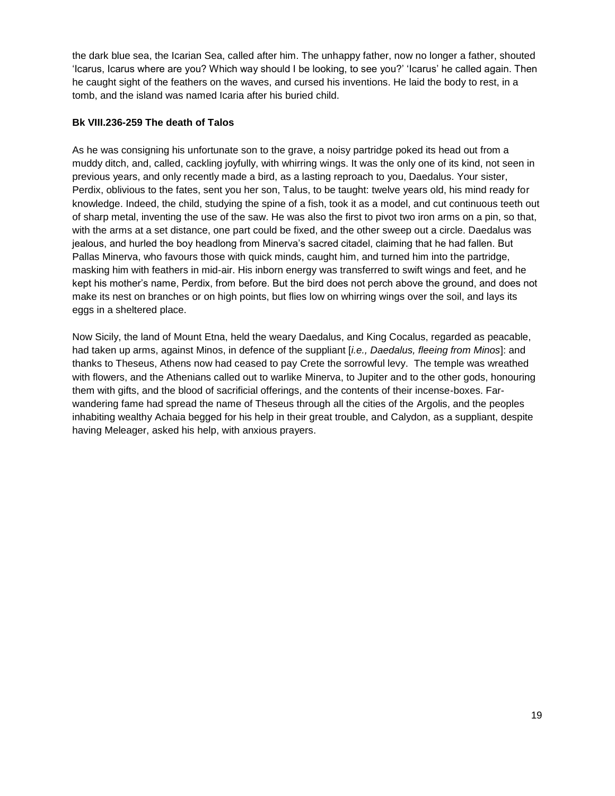the dark blue sea, the Icarian Sea, called after him. The unhappy father, now no longer a father, shouted 'Icarus, Icarus where are you? Which way should I be looking, to see you?' 'Icarus' he called again. Then he caught sight of the feathers on the waves, and cursed his inventions. He laid the body to rest, in a tomb, and the island was named Icaria after his buried child.

#### **Bk VIII.236-259 The death of Talos**

As he was consigning his unfortunate son to the grave, a noisy partridge poked its head out from a muddy ditch, and, called, cackling joyfully, with whirring wings. It was the only one of its kind, not seen in previous years, and only recently made a bird, as a lasting reproach to you, Daedalus. Your sister, Perdix, oblivious to the fates, sent you her son, Talus, to be taught: twelve years old, his mind ready for knowledge. Indeed, the child, studying the spine of a fish, took it as a model, and cut continuous teeth out of sharp metal, inventing the use of the saw. He was also the first to pivot two iron arms on a pin, so that, with the arms at a set distance, one part could be fixed, and the other sweep out a circle. Daedalus was jealous, and hurled the boy headlong from Minerva's sacred citadel, claiming that he had fallen. But Pallas Minerva, who favours those with quick minds, caught him, and turned him into the partridge, masking him with feathers in mid-air. His inborn energy was transferred to swift wings and feet, and he kept his mother's name, Perdix, from before. But the bird does not perch above the ground, and does not make its nest on branches or on high points, but flies low on whirring wings over the soil, and lays its eggs in a sheltered place.

Now [Sicily,](about:blank) the land of Mount [Etna,](about:blank) held the weary [Daedalus,](about:blank) and King [Cocalus,](about:blank) regarded as peacable, had taken up arms, against [Minos,](about:blank) in defence of the suppliant [*i.e., Daedalus, fleeing from Minos*]: and thanks to [Theseus, Athens](about:blank) now had ceased to pay [Crete](about:blank) the sorrowful levy. The temple was wreathed with flowers, and the Athenians called out to warlike [Minerva,](about:blank) to [Jupiter](about:blank) and to the other gods, honouring them with gifts, and the blood of sacrificial offerings, and the contents of their incense-boxes. Farwandering fame had spread the name of Theseus through all the cities of the [Argolis,](about:blank) and the peoples inhabiting wealthy [Achaia](about:blank) begged for his help in their great trouble, and [Calydon,](about:blank) as a suppliant, despite having [Meleager,](about:blank) asked his help, with anxious prayers.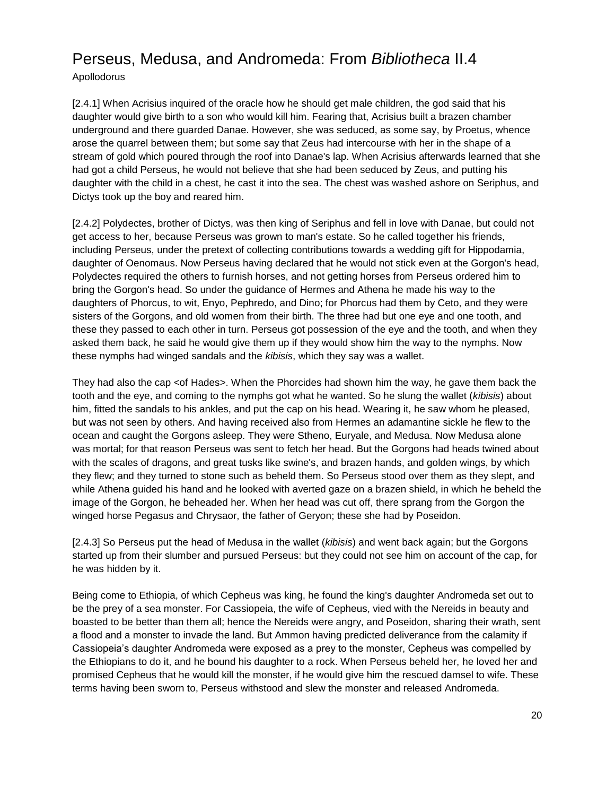# Perseus, Medusa, and Andromeda: From *Bibliotheca* II.4

Apollodorus

[2.4.1] When Acrisius inquired of the oracle how he should get male children, the god said that his daughter would give birth to a son who would kill him. Fearing that, Acrisius built a brazen chamber underground and there guarded Danae. However, she was seduced, as some say, by Proetus, whence arose the quarrel between them; but some say that Zeus had intercourse with her in the shape of a stream of gold which poured through the roof into Danae's lap. When Acrisius afterwards learned that she had got a child Perseus, he would not believe that she had been seduced by Zeus, and putting his daughter with the child in a chest, he cast it into the sea. The chest was washed ashore on Seriphus, and Dictys took up the boy and reared him.

[2.4.2] Polydectes, brother of Dictys, was then king of Seriphus and fell in love with Danae, but could not get access to her, because Perseus was grown to man's estate. So he called together his friends, including Perseus, under the pretext of collecting contributions towards a wedding gift for Hippodamia, daughter of Oenomaus. Now Perseus having declared that he would not stick even at the Gorgon's head, Polydectes required the others to furnish horses, and not getting horses from Perseus ordered him to bring the Gorgon's head. So under the guidance of Hermes and Athena he made his way to the daughters of Phorcus, to wit, Enyo, Pephredo, and Dino; for Phorcus had them by Ceto, and they were sisters of the Gorgons, and old women from their birth. The three had but one eye and one tooth, and these they passed to each other in turn. Perseus got possession of the eye and the tooth, and when they asked them back, he said he would give them up if they would show him the way to the nymphs. Now these nymphs had winged sandals and the *kibisis*, which they say was a wallet.

They had also the cap <of Hades>. When the Phorcides had shown him the way, he gave them back the tooth and the eye, and coming to the nymphs got what he wanted. So he slung the wallet (*kibisis*) about him, fitted the sandals to his ankles, and put the cap on his head. Wearing it, he saw whom he pleased, but was not seen by others. And having received also from Hermes an adamantine sickle he flew to the ocean and caught the Gorgons asleep. They were Stheno, Euryale, and Medusa. Now Medusa alone was mortal; for that reason Perseus was sent to fetch her head. But the Gorgons had heads twined about with the scales of dragons, and great tusks like swine's, and brazen hands, and golden wings, by which they flew; and they turned to stone such as beheld them. So Perseus stood over them as they slept, and while Athena guided his hand and he looked with averted gaze on a brazen shield, in which he beheld the image of the Gorgon, he beheaded her. When her head was cut off, there sprang from the Gorgon the winged horse Pegasus and Chrysaor, the father of Geryon; these she had by Poseidon.

[2.4.3] So Perseus put the head of Medusa in the wallet (*kibisis*) and went back again; but the Gorgons started up from their slumber and pursued Perseus: but they could not see him on account of the cap, for he was hidden by it.

Being come to Ethiopia, of which Cepheus was king, he found the king's daughter Andromeda set out to be the prey of a sea monster. For Cassiopeia, the wife of Cepheus, vied with the Nereids in beauty and boasted to be better than them all; hence the Nereids were angry, and Poseidon, sharing their wrath, sent a flood and a monster to invade the land. But Ammon having predicted deliverance from the calamity if Cassiopeia's daughter Andromeda were exposed as a prey to the monster, Cepheus was compelled by the Ethiopians to do it, and he bound his daughter to a rock. When Perseus beheld her, he loved her and promised Cepheus that he would kill the monster, if he would give him the rescued damsel to wife. These terms having been sworn to, Perseus withstood and slew the monster and released Andromeda.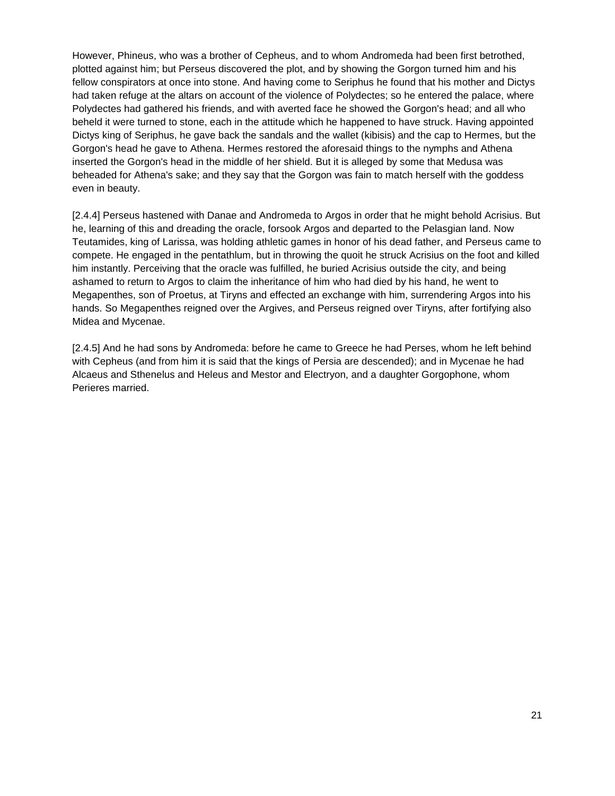However, Phineus, who was a brother of Cepheus, and to whom Andromeda had been first betrothed, plotted against him; but Perseus discovered the plot, and by showing the Gorgon turned him and his fellow conspirators at once into stone. And having come to Seriphus he found that his mother and Dictys had taken refuge at the altars on account of the violence of Polydectes; so he entered the palace, where Polydectes had gathered his friends, and with averted face he showed the Gorgon's head; and all who beheld it were turned to stone, each in the attitude which he happened to have struck. Having appointed Dictys king of Seriphus, he gave back the sandals and the wallet (kibisis) and the cap to Hermes, but the Gorgon's head he gave to Athena. Hermes restored the aforesaid things to the nymphs and Athena inserted the Gorgon's head in the middle of her shield. But it is alleged by some that Medusa was beheaded for Athena's sake; and they say that the Gorgon was fain to match herself with the goddess even in beauty.

[2.4.4] Perseus hastened with Danae and Andromeda to Argos in order that he might behold Acrisius. But he, learning of this and dreading the oracle, forsook Argos and departed to the Pelasgian land. Now Teutamides, king of Larissa, was holding athletic games in honor of his dead father, and Perseus came to compete. He engaged in the pentathlum, but in throwing the quoit he struck Acrisius on the foot and killed him instantly. Perceiving that the oracle was fulfilled, he buried Acrisius outside the city, and being ashamed to return to Argos to claim the inheritance of him who had died by his hand, he went to Megapenthes, son of Proetus, at Tiryns and effected an exchange with him, surrendering Argos into his hands. So Megapenthes reigned over the Argives, and Perseus reigned over Tiryns, after fortifying also Midea and Mycenae.

[2.4.5] And he had sons by Andromeda: before he came to Greece he had Perses, whom he left behind with Cepheus (and from him it is said that the kings of Persia are descended); and in Mycenae he had Alcaeus and Sthenelus and Heleus and Mestor and Electryon, and a daughter Gorgophone, whom Perieres married.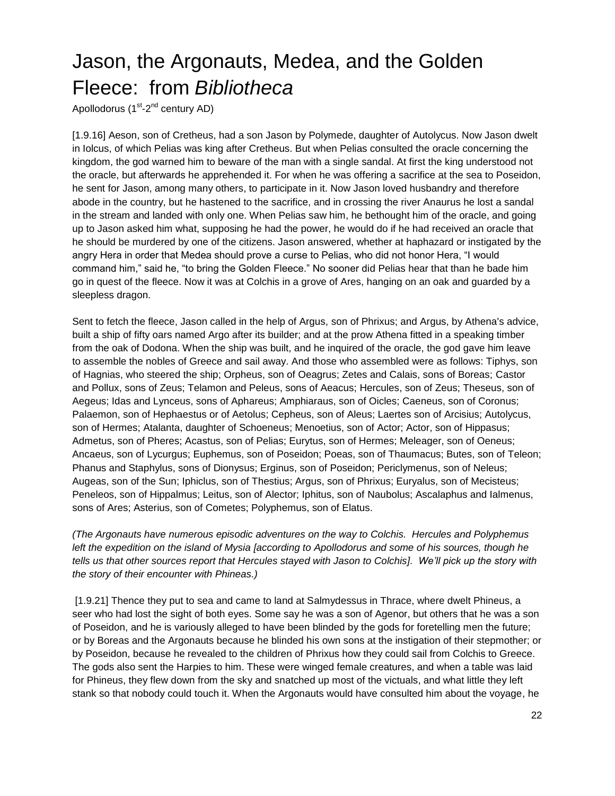# Jason, the Argonauts, Medea, and the Golden Fleece: from *Bibliotheca*

Apollodorus (1<sup>st</sup>-2<sup>nd</sup> century AD)

[1.9.16] Aeson, son of Cretheus, had a son Jason by Polymede, daughter of Autolycus. Now Jason dwelt in Iolcus, of which Pelias was king after Cretheus. But when Pelias consulted the oracle concerning the kingdom, the god warned him to beware of the man with a single sandal. At first the king understood not the oracle, but afterwards he apprehended it. For when he was offering a sacrifice at the sea to Poseidon, he sent for Jason, among many others, to participate in it. Now Jason loved husbandry and therefore abode in the country, but he hastened to the sacrifice, and in crossing the river Anaurus he lost a sandal in the stream and landed with only one. When Pelias saw him, he bethought him of the oracle, and going up to Jason asked him what, supposing he had the power, he would do if he had received an oracle that he should be murdered by one of the citizens. Jason answered, whether at haphazard or instigated by the angry Hera in order that Medea should prove a curse to Pelias, who did not honor Hera, "I would command him," said he, "to bring the Golden Fleece." No sooner did Pelias hear that than he bade him go in quest of the fleece. Now it was at Colchis in a grove of Ares, hanging on an oak and guarded by a sleepless dragon.

Sent to fetch the fleece, Jason called in the help of Argus, son of Phrixus; and Argus, by Athena's advice, built a ship of fifty oars named Argo after its builder; and at the prow Athena fitted in a speaking timber from the oak of Dodona. When the ship was built, and he inquired of the oracle, the god gave him leave to assemble the nobles of Greece and sail away. And those who assembled were as follows: Tiphys, son of Hagnias, who steered the ship; Orpheus, son of Oeagrus; Zetes and Calais, sons of Boreas; Castor and Pollux, sons of Zeus; Telamon and Peleus, sons of Aeacus; Hercules, son of Zeus; Theseus, son of Aegeus; Idas and Lynceus, sons of Aphareus; Amphiaraus, son of Oicles; Caeneus, son of Coronus; Palaemon, son of Hephaestus or of Aetolus; Cepheus, son of Aleus; Laertes son of Arcisius; Autolycus, son of Hermes; Atalanta, daughter of Schoeneus; Menoetius, son of Actor; Actor, son of Hippasus; Admetus, son of Pheres; Acastus, son of Pelias; Eurytus, son of Hermes; Meleager, son of Oeneus; Ancaeus, son of Lycurgus; Euphemus, son of Poseidon; Poeas, son of Thaumacus; Butes, son of Teleon; Phanus and Staphylus, sons of Dionysus; Erginus, son of Poseidon; Periclymenus, son of Neleus; Augeas, son of the Sun; Iphiclus, son of Thestius; Argus, son of Phrixus; Euryalus, son of Mecisteus; Peneleos, son of Hippalmus; Leitus, son of Alector; Iphitus, son of Naubolus; Ascalaphus and Ialmenus, sons of Ares; Asterius, son of Cometes; Polyphemus, son of Elatus.

*(The Argonauts have numerous episodic adventures on the way to Colchis. Hercules and Polyphemus left the expedition on the island of Mysia [according to Apollodorus and some of his sources, though he tells us that other sources report that Hercules stayed with Jason to Colchis]. We'll pick up the story with the story of their encounter with Phineas.)*

[1.9.21] Thence they put to sea and came to land at Salmydessus in Thrace, where dwelt Phineus, a seer who had lost the sight of both eyes. Some say he was a son of Agenor, but others that he was a son of Poseidon, and he is variously alleged to have been blinded by the gods for foretelling men the future; or by Boreas and the Argonauts because he blinded his own sons at the instigation of their stepmother; or by Poseidon, because he revealed to the children of Phrixus how they could sail from Colchis to Greece. The gods also sent the Harpies to him. These were winged female creatures, and when a table was laid for Phineus, they flew down from the sky and snatched up most of the victuals, and what little they left stank so that nobody could touch it. When the Argonauts would have consulted him about the voyage, he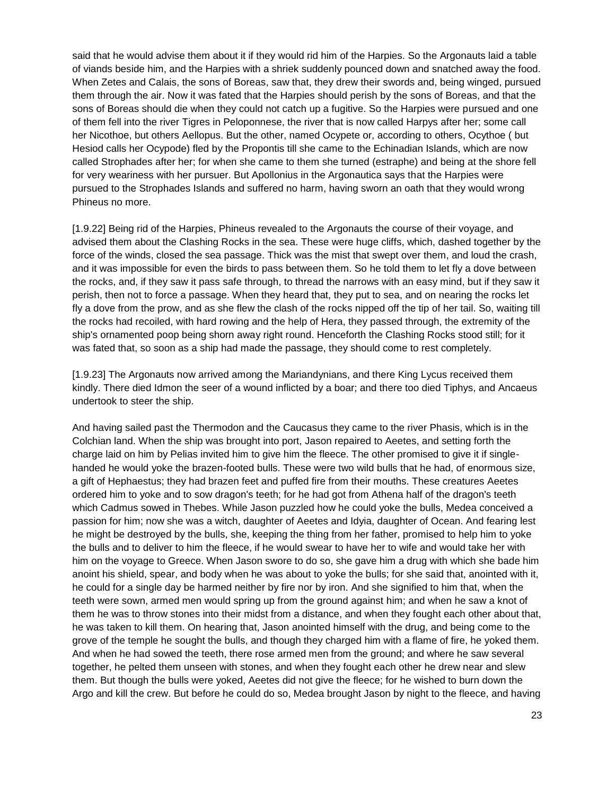said that he would advise them about it if they would rid him of the Harpies. So the Argonauts laid a table of viands beside him, and the Harpies with a shriek suddenly pounced down and snatched away the food. When Zetes and Calais, the sons of Boreas, saw that, they drew their swords and, being winged, pursued them through the air. Now it was fated that the Harpies should perish by the sons of Boreas, and that the sons of Boreas should die when they could not catch up a fugitive. So the Harpies were pursued and one of them fell into the river Tigres in Peloponnese, the river that is now called Harpys after her; some call her Nicothoe, but others Aellopus. But the other, named Ocypete or, according to others, Ocythoe ( but Hesiod calls her Ocypode) fled by the Propontis till she came to the Echinadian Islands, which are now called Strophades after her; for when she came to them she turned (estraphe) and being at the shore fell for very weariness with her pursuer. But Apollonius in the Argonautica says that the Harpies were pursued to the Strophades Islands and suffered no harm, having sworn an oath that they would wrong Phineus no more.

[1.9.22] Being rid of the Harpies, Phineus revealed to the Argonauts the course of their voyage, and advised them about the Clashing Rocks in the sea. These were huge cliffs, which, dashed together by the force of the winds, closed the sea passage. Thick was the mist that swept over them, and loud the crash, and it was impossible for even the birds to pass between them. So he told them to let fly a dove between the rocks, and, if they saw it pass safe through, to thread the narrows with an easy mind, but if they saw it perish, then not to force a passage. When they heard that, they put to sea, and on nearing the rocks let fly a dove from the prow, and as she flew the clash of the rocks nipped off the tip of her tail. So, waiting till the rocks had recoiled, with hard rowing and the help of Hera, they passed through, the extremity of the ship's ornamented poop being shorn away right round. Henceforth the Clashing Rocks stood still; for it was fated that, so soon as a ship had made the passage, they should come to rest completely.

[1.9.23] The Argonauts now arrived among the Mariandynians, and there King Lycus received them kindly. There died Idmon the seer of a wound inflicted by a boar; and there too died Tiphys, and Ancaeus undertook to steer the ship.

And having sailed past the Thermodon and the Caucasus they came to the river Phasis, which is in the Colchian land. When the ship was brought into port, Jason repaired to Aeetes, and setting forth the charge laid on him by Pelias invited him to give him the fleece. The other promised to give it if singlehanded he would yoke the brazen-footed bulls. These were two wild bulls that he had, of enormous size, a gift of Hephaestus; they had brazen feet and puffed fire from their mouths. These creatures Aeetes ordered him to yoke and to sow dragon's teeth; for he had got from Athena half of the dragon's teeth which Cadmus sowed in Thebes. While Jason puzzled how he could yoke the bulls, Medea conceived a passion for him; now she was a witch, daughter of Aeetes and Idyia, daughter of Ocean. And fearing lest he might be destroyed by the bulls, she, keeping the thing from her father, promised to help him to yoke the bulls and to deliver to him the fleece, if he would swear to have her to wife and would take her with him on the voyage to Greece. When Jason swore to do so, she gave him a drug with which she bade him anoint his shield, spear, and body when he was about to yoke the bulls; for she said that, anointed with it, he could for a single day be harmed neither by fire nor by iron. And she signified to him that, when the teeth were sown, armed men would spring up from the ground against him; and when he saw a knot of them he was to throw stones into their midst from a distance, and when they fought each other about that, he was taken to kill them. On hearing that, Jason anointed himself with the drug, and being come to the grove of the temple he sought the bulls, and though they charged him with a flame of fire, he yoked them. And when he had sowed the teeth, there rose armed men from the ground; and where he saw several together, he pelted them unseen with stones, and when they fought each other he drew near and slew them. But though the bulls were yoked, Aeetes did not give the fleece; for he wished to burn down the Argo and kill the crew. But before he could do so, Medea brought Jason by night to the fleece, and having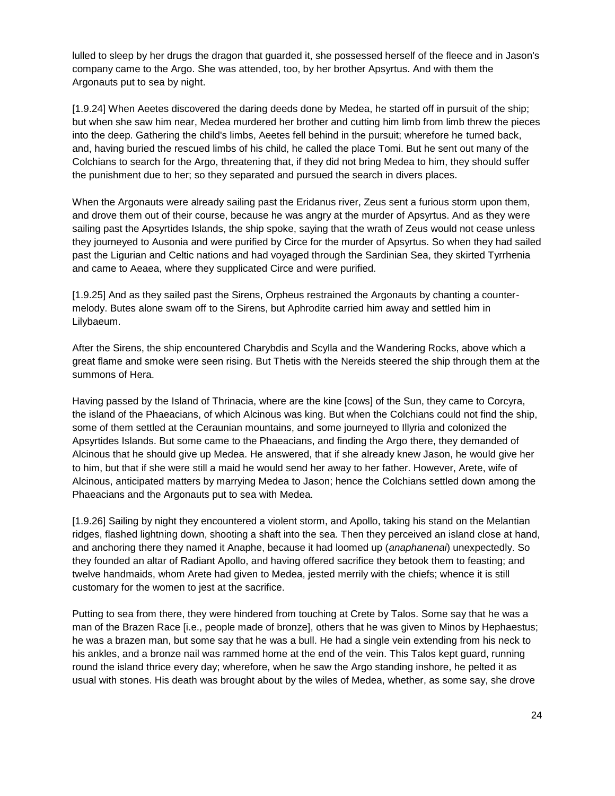lulled to sleep by her drugs the dragon that guarded it, she possessed herself of the fleece and in Jason's company came to the Argo. She was attended, too, by her brother Apsyrtus. And with them the Argonauts put to sea by night.

[1.9.24] When Aeetes discovered the daring deeds done by Medea, he started off in pursuit of the ship; but when she saw him near, Medea murdered her brother and cutting him limb from limb threw the pieces into the deep. Gathering the child's limbs, Aeetes fell behind in the pursuit; wherefore he turned back, and, having buried the rescued limbs of his child, he called the place Tomi. But he sent out many of the Colchians to search for the Argo, threatening that, if they did not bring Medea to him, they should suffer the punishment due to her; so they separated and pursued the search in divers places.

When the Argonauts were already sailing past the Eridanus river, Zeus sent a furious storm upon them, and drove them out of their course, because he was angry at the murder of Apsyrtus. And as they were sailing past the Apsyrtides Islands, the ship spoke, saying that the wrath of Zeus would not cease unless they journeyed to Ausonia and were purified by Circe for the murder of Apsyrtus. So when they had sailed past the Ligurian and Celtic nations and had voyaged through the Sardinian Sea, they skirted Tyrrhenia and came to Aeaea, where they supplicated Circe and were purified.

[1.9.25] And as they sailed past the Sirens, Orpheus restrained the Argonauts by chanting a countermelody. Butes alone swam off to the Sirens, but Aphrodite carried him away and settled him in Lilybaeum.

After the Sirens, the ship encountered Charybdis and Scylla and the Wandering Rocks, above which a great flame and smoke were seen rising. But Thetis with the Nereids steered the ship through them at the summons of Hera.

Having passed by the Island of Thrinacia, where are the kine [cows] of the Sun, they came to Corcyra, the island of the Phaeacians, of which Alcinous was king. But when the Colchians could not find the ship, some of them settled at the Ceraunian mountains, and some journeyed to Illyria and colonized the Apsyrtides Islands. But some came to the Phaeacians, and finding the Argo there, they demanded of Alcinous that he should give up Medea. He answered, that if she already knew Jason, he would give her to him, but that if she were still a maid he would send her away to her father. However, Arete, wife of Alcinous, anticipated matters by marrying Medea to Jason; hence the Colchians settled down among the Phaeacians and the Argonauts put to sea with Medea.

[1.9.26] Sailing by night they encountered a violent storm, and Apollo, taking his stand on the Melantian ridges, flashed lightning down, shooting a shaft into the sea. Then they perceived an island close at hand, and anchoring there they named it Anaphe, because it had loomed up (*anaphanenai*) unexpectedly. So they founded an altar of Radiant Apollo, and having offered sacrifice they betook them to feasting; and twelve handmaids, whom Arete had given to Medea, jested merrily with the chiefs; whence it is still customary for the women to jest at the sacrifice.

Putting to sea from there, they were hindered from touching at Crete by Talos. Some say that he was a man of the Brazen Race [i.e., people made of bronze], others that he was given to Minos by Hephaestus; he was a brazen man, but some say that he was a bull. He had a single vein extending from his neck to his ankles, and a bronze nail was rammed home at the end of the vein. This Talos kept guard, running round the island thrice every day; wherefore, when he saw the Argo standing inshore, he pelted it as usual with stones. His death was brought about by the wiles of Medea, whether, as some say, she drove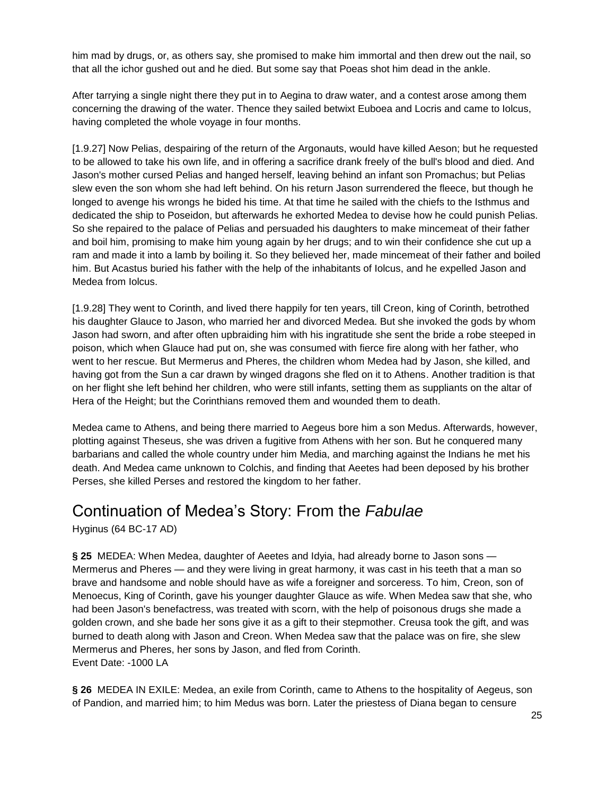him mad by drugs, or, as others say, she promised to make him immortal and then drew out the nail, so that all the ichor gushed out and he died. But some say that Poeas shot him dead in the ankle.

After tarrying a single night there they put in to Aegina to draw water, and a contest arose among them concerning the drawing of the water. Thence they sailed betwixt Euboea and Locris and came to Iolcus, having completed the whole voyage in four months.

[1.9.27] Now Pelias, despairing of the return of the Argonauts, would have killed Aeson; but he requested to be allowed to take his own life, and in offering a sacrifice drank freely of the bull's blood and died. And Jason's mother cursed Pelias and hanged herself, leaving behind an infant son Promachus; but Pelias slew even the son whom she had left behind. On his return Jason surrendered the fleece, but though he longed to avenge his wrongs he bided his time. At that time he sailed with the chiefs to the Isthmus and dedicated the ship to Poseidon, but afterwards he exhorted Medea to devise how he could punish Pelias. So she repaired to the palace of Pelias and persuaded his daughters to make mincemeat of their father and boil him, promising to make him young again by her drugs; and to win their confidence she cut up a ram and made it into a lamb by boiling it. So they believed her, made mincemeat of their father and boiled him. But Acastus buried his father with the help of the inhabitants of Iolcus, and he expelled Jason and Medea from Iolcus.

[1.9.28] They went to Corinth, and lived there happily for ten years, till Creon, king of Corinth, betrothed his daughter Glauce to Jason, who married her and divorced Medea. But she invoked the gods by whom Jason had sworn, and after often upbraiding him with his ingratitude she sent the bride a robe steeped in poison, which when Glauce had put on, she was consumed with fierce fire along with her father, who went to her rescue. But Mermerus and Pheres, the children whom Medea had by Jason, she killed, and having got from the Sun a car drawn by winged dragons she fled on it to Athens. Another tradition is that on her flight she left behind her children, who were still infants, setting them as suppliants on the altar of Hera of the Height; but the Corinthians removed them and wounded them to death.

Medea came to Athens, and being there married to Aegeus bore him a son Medus. Afterwards, however, plotting against Theseus, she was driven a fugitive from Athens with her son. But he conquered many barbarians and called the whole country under him Media, and marching against the Indians he met his death. And Medea came unknown to Colchis, and finding that Aeetes had been deposed by his brother Perses, she killed Perses and restored the kingdom to her father.

### Continuation of Medea's Story: From the *Fabulae*

Hyginus (64 BC-17 AD)

**§ 25** MEDEA: When [Medea,](https://topostext.org/people/165) daughter of [Aeetes](https://topostext.org/people/320) and [Idyia,](https://topostext.org/people/5715) had already borne to [Jason](https://topostext.org/people/2578) sons — [Mermerus](https://topostext.org/people/3632) and [Pheres](https://topostext.org/people/1414) — and they were living in great harmony, it was cast in his teeth that a man so brave and handsome and noble should have as wife a foreigner and sorceress. To him, [Creon,](https://topostext.org/people/282) son of Menoecus, King of Corinth, gave his younger daughter [Glauce](https://topostext.org/people/1610) as wife. When [Medea](https://topostext.org/people/165) saw that she, who had been [Jason's](https://topostext.org/people/2578) benefactress, was treated with scorn, with the help of poisonous drugs she made a golden crown, and she bade her sons give it as a gift to their stepmother. [Creusa](https://topostext.org/people/1322) took the gift, and was burned to death along with [Jason](https://topostext.org/people/2578) and [Creon.](https://topostext.org/people/282) When [Medea](https://topostext.org/people/165) saw that the palace was on fire, she slew [Mermerus](https://topostext.org/people/3632) and [Pheres,](https://topostext.org/people/1414) her sons by [Jason,](https://topostext.org/people/2578) and fled from Corinth. Event Date: -1000 [LA](http://latin.packhum.org/loc/1263/1/0)

**§ 26** MEDEA IN EXILE: [Medea,](https://topostext.org/people/165) an exile from Corinth, came to Athens to the hospitality of [Aegeus,](https://topostext.org/people/399) son of [Pandion,](https://topostext.org/people/507) and married him; to him [Medus](https://topostext.org/people/1685) was born. Later the priestess of [Diana](https://topostext.org/people/28) began to censure